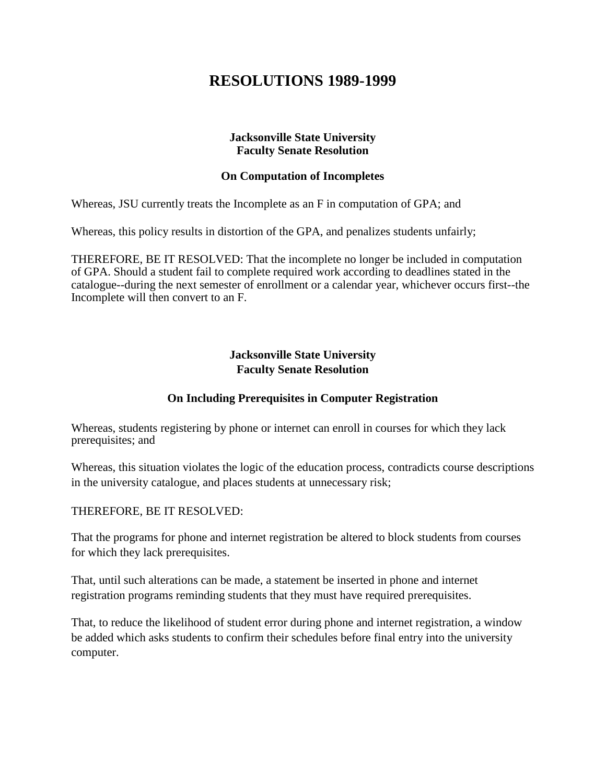# **RESOLUTIONS 1989-1999**

### **Jacksonville State University Faculty Senate Resolution**

#### **On Computation of Incompletes**

Whereas, JSU currently treats the Incomplete as an F in computation of GPA; and

Whereas, this policy results in distortion of the GPA, and penalizes students unfairly;

THEREFORE, BE IT RESOLVED: That the incomplete no longer be included in computation of GPA. Should a student fail to complete required work according to deadlines stated in the catalogue--during the next semester of enrollment or a calendar year, whichever occurs first--the Incomplete will then convert to an F.

## **Jacksonville State University Faculty Senate Resolution**

#### **On Including Prerequisites in Computer Registration**

Whereas, students registering by phone or internet can enroll in courses for which they lack prerequisites; and

Whereas, this situation violates the logic of the education process, contradicts course descriptions in the university catalogue, and places students at unnecessary risk;

#### THEREFORE, BE IT RESOLVED:

That the programs for phone and internet registration be altered to block students from courses for which they lack prerequisites.

That, until such alterations can be made, a statement be inserted in phone and internet registration programs reminding students that they must have required prerequisites.

That, to reduce the likelihood of student error during phone and internet registration, a window be added which asks students to confirm their schedules before final entry into the university computer.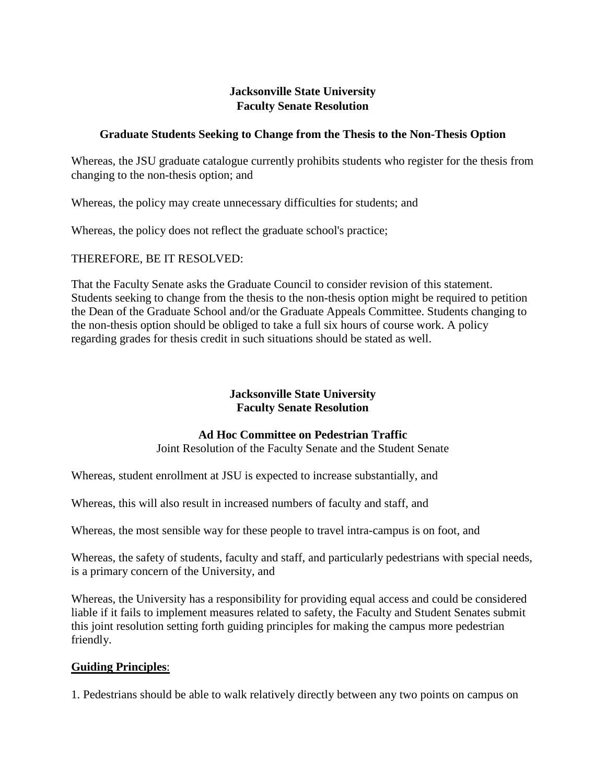## **Graduate Students Seeking to Change from the Thesis to the Non-Thesis Option**

Whereas, the JSU graduate catalogue currently prohibits students who register for the thesis from changing to the non-thesis option; and

Whereas, the policy may create unnecessary difficulties for students; and

Whereas, the policy does not reflect the graduate school's practice;

THEREFORE, BE IT RESOLVED:

That the Faculty Senate asks the Graduate Council to consider revision of this statement. Students seeking to change from the thesis to the non-thesis option might be required to petition the Dean of the Graduate School and/or the Graduate Appeals Committee. Students changing to the non-thesis option should be obliged to take a full six hours of course work. A policy regarding grades for thesis credit in such situations should be stated as well.

## **Jacksonville State University Faculty Senate Resolution**

## **Ad Hoc Committee on Pedestrian Traffic**

Joint Resolution of the Faculty Senate and the Student Senate

Whereas, student enrollment at JSU is expected to increase substantially, and

Whereas, this will also result in increased numbers of faculty and staff, and

Whereas, the most sensible way for these people to travel intra-campus is on foot, and

Whereas, the safety of students, faculty and staff, and particularly pedestrians with special needs, is a primary concern of the University, and

Whereas, the University has a responsibility for providing equal access and could be considered liable if it fails to implement measures related to safety, the Faculty and Student Senates submit this joint resolution setting forth guiding principles for making the campus more pedestrian friendly.

## **Guiding Principles**:

1. Pedestrians should be able to walk relatively directly between any two points on campus on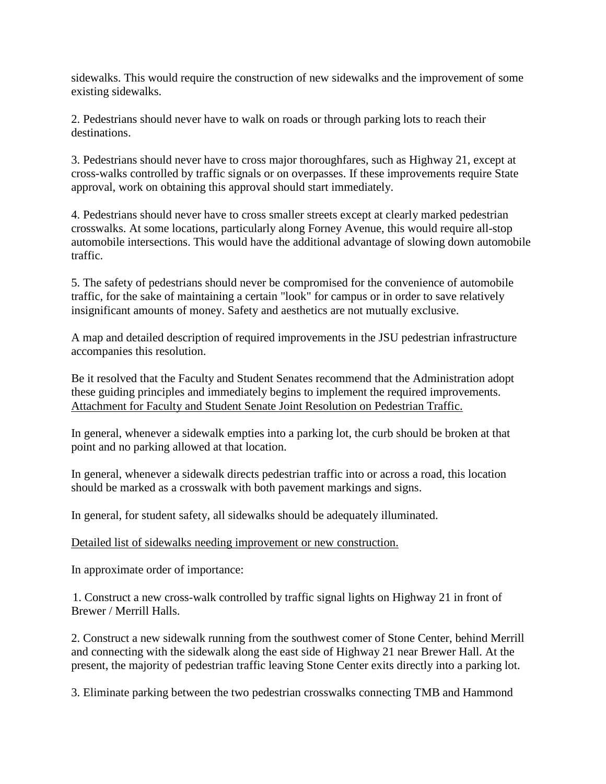sidewalks. This would require the construction of new sidewalks and the improvement of some existing sidewalks.

2. Pedestrians should never have to walk on roads or through parking lots to reach their destinations.

3. Pedestrians should never have to cross major thoroughfares, such as Highway 21, except at cross-walks controlled by traffic signals or on overpasses. If these improvements require State approval, work on obtaining this approval should start immediately.

4. Pedestrians should never have to cross smaller streets except at clearly marked pedestrian crosswalks. At some locations, particularly along Forney Avenue, this would require all-stop automobile intersections. This would have the additional advantage of slowing down automobile traffic.

5. The safety of pedestrians should never be compromised for the convenience of automobile traffic, for the sake of maintaining a certain "look" for campus or in order to save relatively insignificant amounts of money. Safety and aesthetics are not mutually exclusive.

A map and detailed description of required improvements in the JSU pedestrian infrastructure accompanies this resolution.

Be it resolved that the Faculty and Student Senates recommend that the Administration adopt these guiding principles and immediately begins to implement the required improvements. Attachment for Faculty and Student Senate Joint Resolution on Pedestrian Traffic.

In general, whenever a sidewalk empties into a parking lot, the curb should be broken at that point and no parking allowed at that location.

In general, whenever a sidewalk directs pedestrian traffic into or across a road, this location should be marked as a crosswalk with both pavement markings and signs.

In general, for student safety, all sidewalks should be adequately illuminated.

#### Detailed list of sidewalks needing improvement or new construction.

In approximate order of importance:

1. Construct a new cross-walk controlled by traffic signal lights on Highway 21 in front of Brewer / Merrill Halls.

2. Construct a new sidewalk running from the southwest comer of Stone Center, behind Merrill and connecting with the sidewalk along the east side of Highway 21 near Brewer Hall. At the present, the majority of pedestrian traffic leaving Stone Center exits directly into a parking lot.

3. Eliminate parking between the two pedestrian crosswalks connecting TMB and Hammond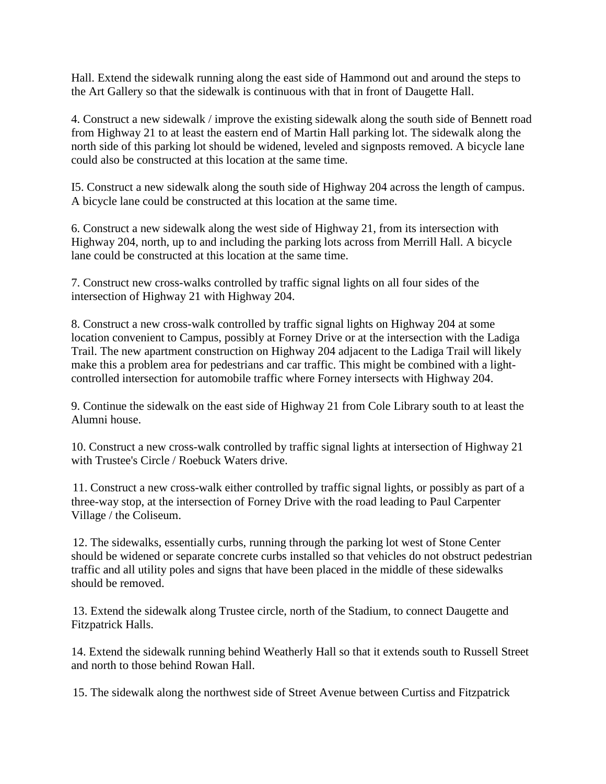Hall. Extend the sidewalk running along the east side of Hammond out and around the steps to the Art Gallery so that the sidewalk is continuous with that in front of Daugette Hall.

4. Construct a new sidewalk / improve the existing sidewalk along the south side of Bennett road from Highway 21 to at least the eastern end of Martin Hall parking lot. The sidewalk along the north side of this parking lot should be widened, leveled and signposts removed. A bicycle lane could also be constructed at this location at the same time.

I5. Construct a new sidewalk along the south side of Highway 204 across the length of campus. A bicycle lane could be constructed at this location at the same time.

6. Construct a new sidewalk along the west side of Highway 21, from its intersection with Highway 204, north, up to and including the parking lots across from Merrill Hall. A bicycle lane could be constructed at this location at the same time.

7. Construct new cross-walks controlled by traffic signal lights on all four sides of the intersection of Highway 21 with Highway 204.

8. Construct a new cross-walk controlled by traffic signal lights on Highway 204 at some location convenient to Campus, possibly at Forney Drive or at the intersection with the Ladiga Trail. The new apartment construction on Highway 204 adjacent to the Ladiga Trail will likely make this a problem area for pedestrians and car traffic. This might be combined with a lightcontrolled intersection for automobile traffic where Forney intersects with Highway 204.

9. Continue the sidewalk on the east side of Highway 21 from Cole Library south to at least the Alumni house.

10. Construct a new cross-walk controlled by traffic signal lights at intersection of Highway 21 with Trustee's Circle / Roebuck Waters drive.

11. Construct a new cross-walk either controlled by traffic signal lights, or possibly as part of a three-way stop, at the intersection of Forney Drive with the road leading to Paul Carpenter Village / the Coliseum.

12. The sidewalks, essentially curbs, running through the parking lot west of Stone Center should be widened or separate concrete curbs installed so that vehicles do not obstruct pedestrian traffic and all utility poles and signs that have been placed in the middle of these sidewalks should be removed.

13. Extend the sidewalk along Trustee circle, north of the Stadium, to connect Daugette and Fitzpatrick Halls.

14. Extend the sidewalk running behind Weatherly Hall so that it extends south to Russell Street and north to those behind Rowan Hall.

15. The sidewalk along the northwest side of Street Avenue between Curtiss and Fitzpatrick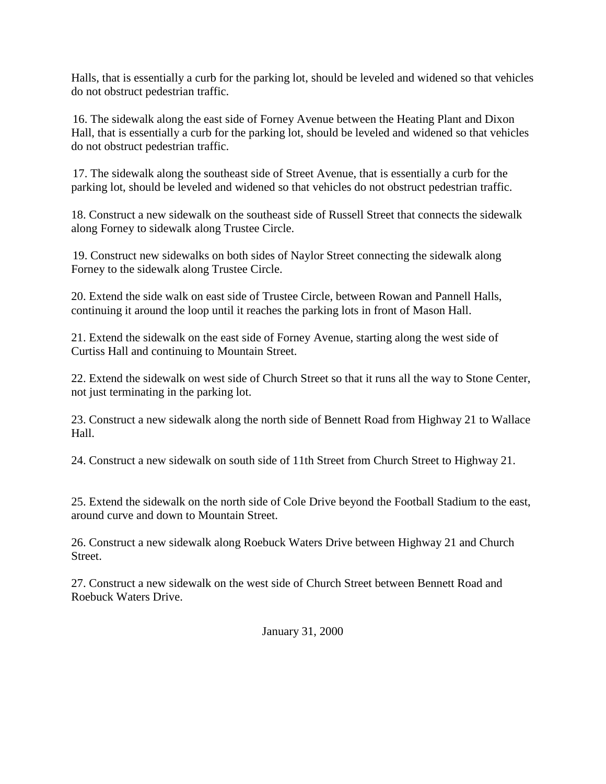Halls, that is essentially a curb for the parking lot, should be leveled and widened so that vehicles do not obstruct pedestrian traffic.

16. The sidewalk along the east side of Forney Avenue between the Heating Plant and Dixon Hall, that is essentially a curb for the parking lot, should be leveled and widened so that vehicles do not obstruct pedestrian traffic.

17. The sidewalk along the southeast side of Street Avenue, that is essentially a curb for the parking lot, should be leveled and widened so that vehicles do not obstruct pedestrian traffic.

18. Construct a new sidewalk on the southeast side of Russell Street that connects the sidewalk along Forney to sidewalk along Trustee Circle.

19. Construct new sidewalks on both sides of Naylor Street connecting the sidewalk along Forney to the sidewalk along Trustee Circle.

20. Extend the side walk on east side of Trustee Circle, between Rowan and Pannell Halls, continuing it around the loop until it reaches the parking lots in front of Mason Hall.

21. Extend the sidewalk on the east side of Forney Avenue, starting along the west side of Curtiss Hall and continuing to Mountain Street.

22. Extend the sidewalk on west side of Church Street so that it runs all the way to Stone Center, not just terminating in the parking lot.

23. Construct a new sidewalk along the north side of Bennett Road from Highway 21 to Wallace Hall.

24. Construct a new sidewalk on south side of 11th Street from Church Street to Highway 21.

25. Extend the sidewalk on the north side of Cole Drive beyond the Football Stadium to the east, around curve and down to Mountain Street.

26. Construct a new sidewalk along Roebuck Waters Drive between Highway 21 and Church Street.

27. Construct a new sidewalk on the west side of Church Street between Bennett Road and Roebuck Waters Drive.

January 31, 2000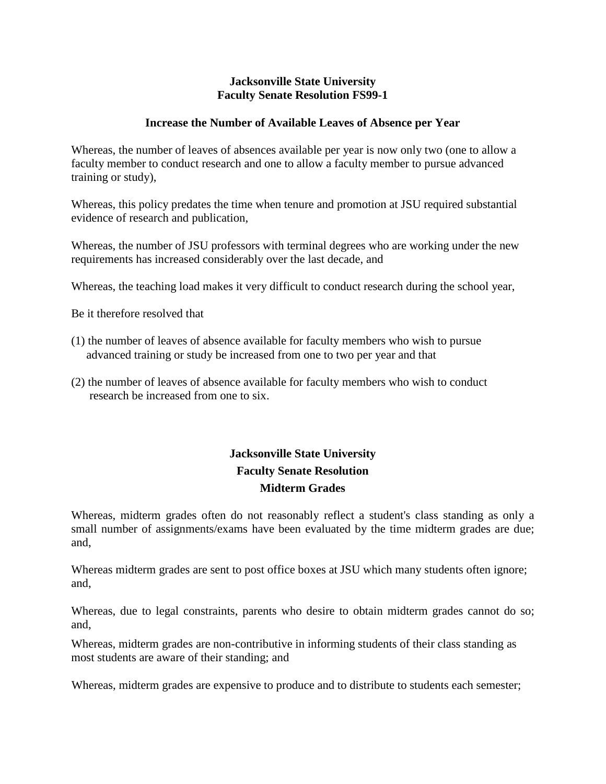### **Increase the Number of Available Leaves of Absence per Year**

Whereas, the number of leaves of absences available per year is now only two (one to allow a faculty member to conduct research and one to allow a faculty member to pursue advanced training or study),

Whereas, this policy predates the time when tenure and promotion at JSU required substantial evidence of research and publication,

Whereas, the number of JSU professors with terminal degrees who are working under the new requirements has increased considerably over the last decade, and

Whereas, the teaching load makes it very difficult to conduct research during the school year,

Be it therefore resolved that

- (1) the number of leaves of absence available for faculty members who wish to pursue advanced training or study be increased from one to two per year and that
- (2) the number of leaves of absence available for faculty members who wish to conduct research be increased from one to six.

# **Jacksonville State University Faculty Senate Resolution Midterm Grades**

Whereas, midterm grades often do not reasonably reflect a student's class standing as only a small number of assignments/exams have been evaluated by the time midterm grades are due; and,

Whereas midterm grades are sent to post office boxes at JSU which many students often ignore; and,

Whereas, due to legal constraints, parents who desire to obtain midterm grades cannot do so; and,

Whereas, midterm grades are non-contributive in informing students of their class standing as most students are aware of their standing; and

Whereas, midterm grades are expensive to produce and to distribute to students each semester;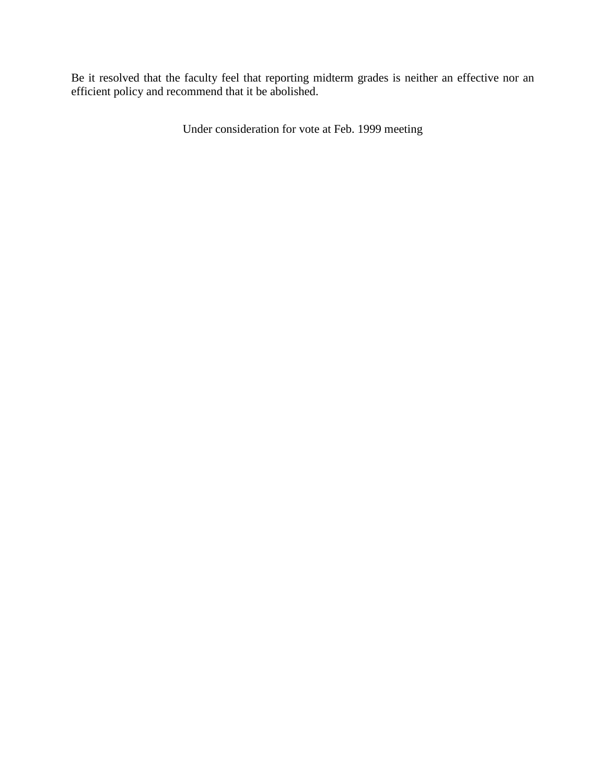Be it resolved that the faculty feel that reporting midterm grades is neither an effective nor an efficient policy and recommend that it be abolished.

Under consideration for vote at Feb. 1999 meeting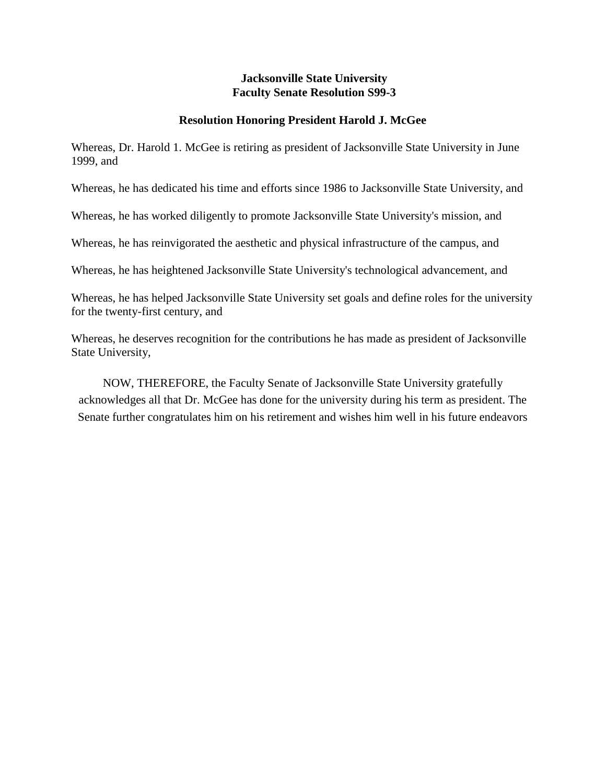## **Resolution Honoring President Harold J. McGee**

Whereas, Dr. Harold 1. McGee is retiring as president of Jacksonville State University in June 1999, and

Whereas, he has dedicated his time and efforts since 1986 to Jacksonville State University, and

Whereas, he has worked diligently to promote Jacksonville State University's mission, and

Whereas, he has reinvigorated the aesthetic and physical infrastructure of the campus, and

Whereas, he has heightened Jacksonville State University's technological advancement, and

Whereas, he has helped Jacksonville State University set goals and define roles for the university for the twenty-first century, and

Whereas, he deserves recognition for the contributions he has made as president of Jacksonville State University,

NOW, THEREFORE, the Faculty Senate of Jacksonville State University gratefully acknowledges all that Dr. McGee has done for the university during his term as president. The Senate further congratulates him on his retirement and wishes him well in his future endeavors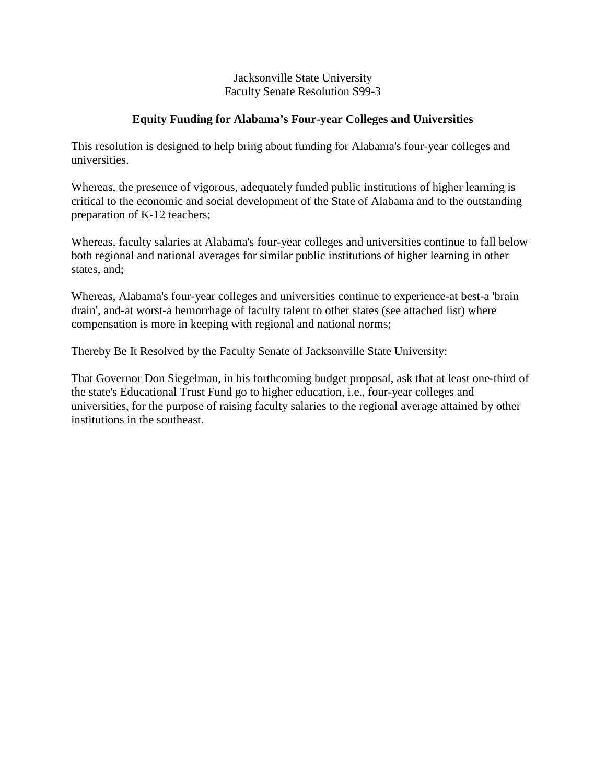## **Equity Funding for Alabama's Four-year Colleges and Universities**

This resolution is designed to help bring about funding for Alabama's four-year colleges and universities.

Whereas*,* the presence of vigorous, adequately funded public institutions of higher learning is critical to the economic and social development of the State of Alabama and to the outstanding preparation of K-12 teachers;

Whereas*,* faculty salaries at Alabama's four-year colleges and universities continue to fall below both regional and national averages for similar public institutions of higher learning in other states, and;

Whereas*,* Alabama's four-year colleges and universities continue to experience-at best-a 'brain drain', and-at worst-a hemorrhage of faculty talent to other states (see attached list) where compensation is more in keeping with regional and national norms;

Thereby Be It Resolved by the Faculty Senate of Jacksonville State University:

That Governor Don Siegelman, in his forthcoming budget proposal, ask that at least one-third of the state's Educational Trust Fund go to higher education, i.e., four-year colleges and universities, for the purpose of raising faculty salaries to the regional average attained by other institutions in the southeast.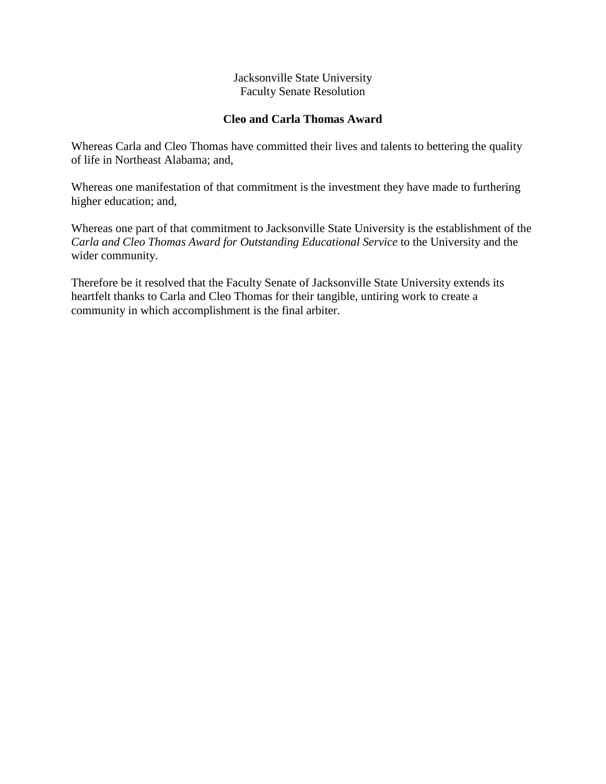## **Cleo and Carla Thomas Award**

Whereas Carla and Cleo Thomas have committed their lives and talents to bettering the quality of life in Northeast Alabama; and,

Whereas one manifestation of that commitment is the investment they have made to furthering higher education; and,

Whereas one part of that commitment to Jacksonville State University is the establishment of the *Carla and Cleo Thomas Award for Outstanding Educational Service* to the University and the wider community.

Therefore be it resolved that the Faculty Senate of Jacksonville State University extends its heartfelt thanks to Carla and Cleo Thomas for their tangible, untiring work to create a community in which accomplishment is the final arbiter.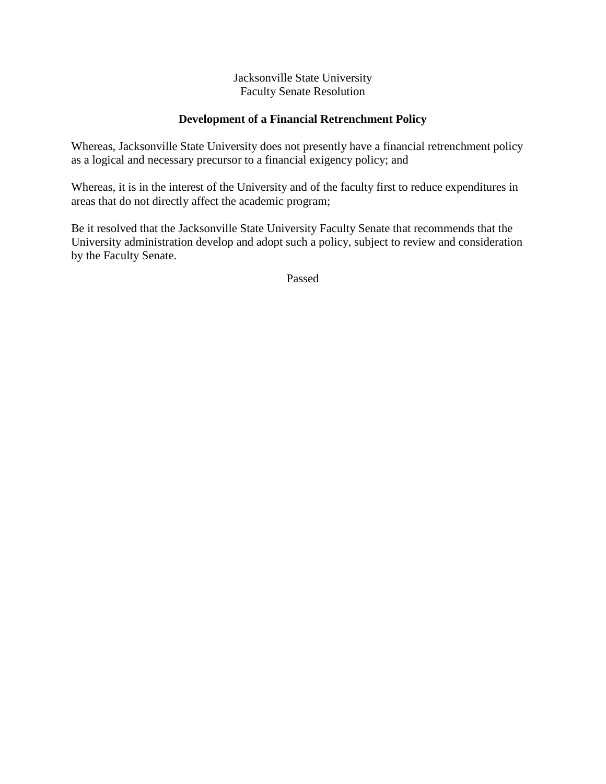## **Development of a Financial Retrenchment Policy**

Whereas, Jacksonville State University does not presently have a financial retrenchment policy as a logical and necessary precursor to a financial exigency policy; and

Whereas, it is in the interest of the University and of the faculty first to reduce expenditures in areas that do not directly affect the academic program;

Be it resolved that the Jacksonville State University Faculty Senate that recommends that the University administration develop and adopt such a policy, subject to review and consideration by the Faculty Senate.

Passed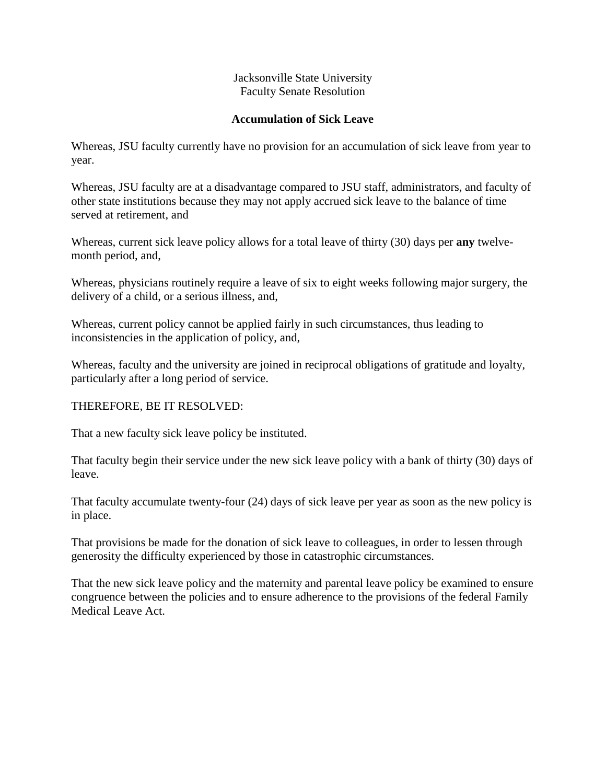## **Accumulation of Sick Leave**

Whereas, JSU faculty currently have no provision for an accumulation of sick leave from year to year.

Whereas, JSU faculty are at a disadvantage compared to JSU staff, administrators, and faculty of other state institutions because they may not apply accrued sick leave to the balance of time served at retirement, and

Whereas, current sick leave policy allows for a total leave of thirty (30) days per **any** twelvemonth period, and,

Whereas, physicians routinely require a leave of six to eight weeks following major surgery, the delivery of a child, or a serious illness, and,

Whereas, current policy cannot be applied fairly in such circumstances, thus leading to inconsistencies in the application of policy, and,

Whereas, faculty and the university are joined in reciprocal obligations of gratitude and loyalty, particularly after a long period of service.

## THEREFORE, BE IT RESOLVED:

That a new faculty sick leave policy be instituted.

That faculty begin their service under the new sick leave policy with a bank of thirty (30) days of leave.

That faculty accumulate twenty-four (24) days of sick leave per year as soon as the new policy is in place.

That provisions be made for the donation of sick leave to colleagues, in order to lessen through generosity the difficulty experienced by those in catastrophic circumstances.

That the new sick leave policy and the maternity and parental leave policy be examined to ensure congruence between the policies and to ensure adherence to the provisions of the federal Family Medical Leave Act.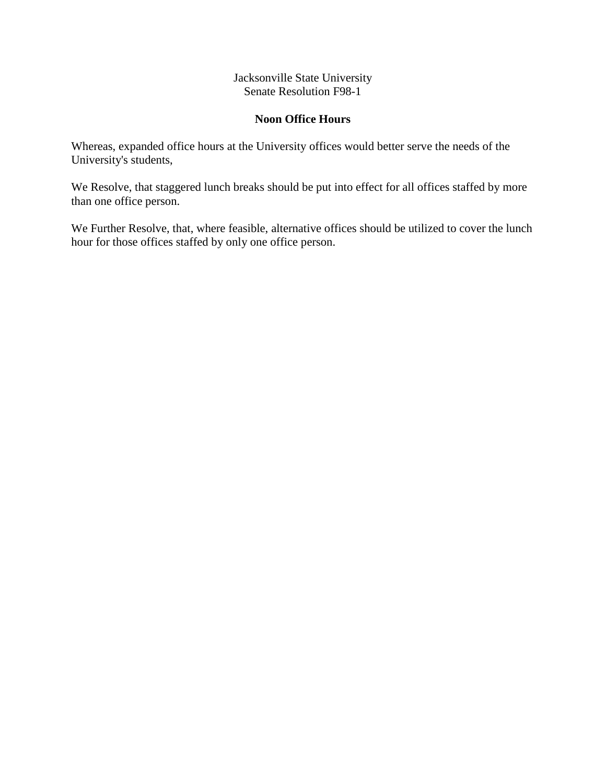## **Noon Office Hours**

Whereas, expanded office hours at the University offices would better serve the needs of the University's students,

We Resolve, that staggered lunch breaks should be put into effect for all offices staffed by more than one office person.

We Further Resolve, that, where feasible, alternative offices should be utilized to cover the lunch hour for those offices staffed by only one office person.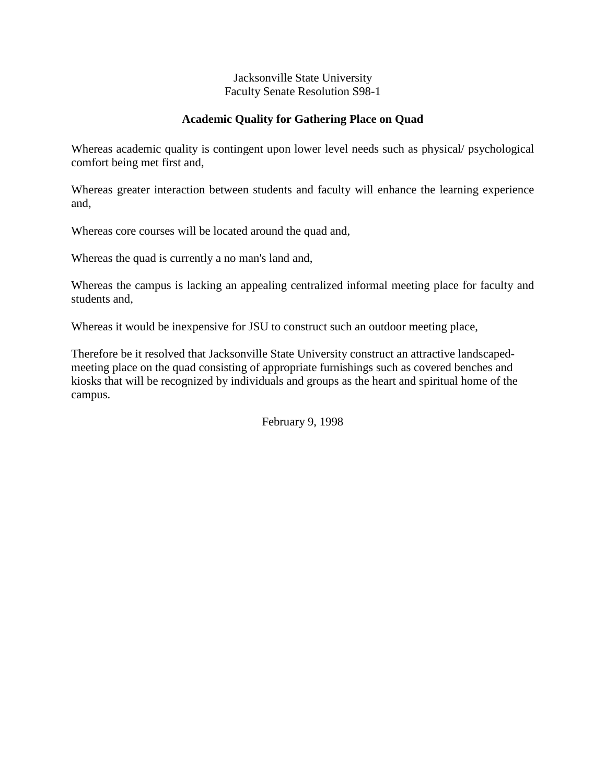## **Academic Quality for Gathering Place on Quad**

Whereas academic quality is contingent upon lower level needs such as physical/ psychological comfort being met first and,

Whereas greater interaction between students and faculty will enhance the learning experience and,

Whereas core courses will be located around the quad and,

Whereas the quad is currently a no man's land and,

Whereas the campus is lacking an appealing centralized informal meeting place for faculty and students and,

Whereas it would be inexpensive for JSU to construct such an outdoor meeting place,

Therefore be it resolved that Jacksonville State University construct an attractive landscapedmeeting place on the quad consisting of appropriate furnishings such as covered benches and kiosks that will be recognized by individuals and groups as the heart and spiritual home of the campus.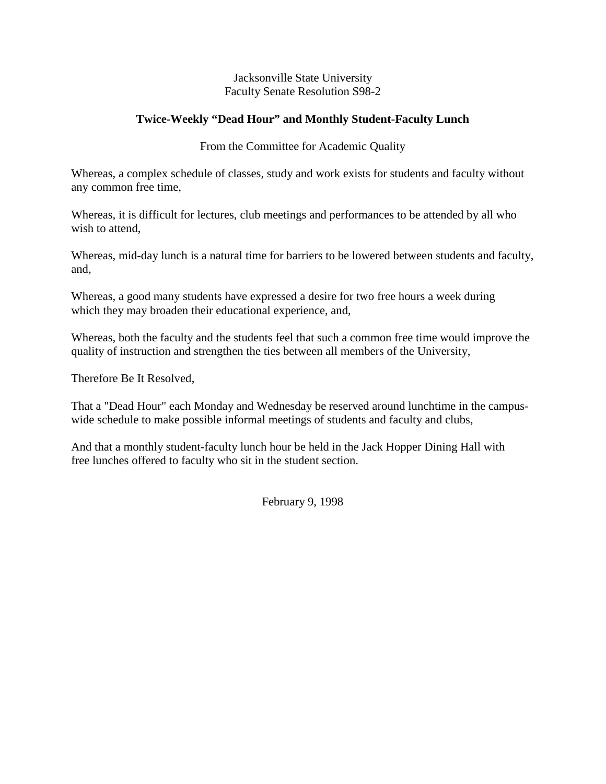## **Twice-Weekly "Dead Hour" and Monthly Student-Faculty Lunch**

From the Committee for Academic Quality

Whereas, a complex schedule of classes, study and work exists for students and faculty without any common free time,

Whereas, it is difficult for lectures, club meetings and performances to be attended by all who wish to attend,

Whereas, mid-day lunch is a natural time for barriers to be lowered between students and faculty, and,

Whereas, a good many students have expressed a desire for two free hours a week during which they may broaden their educational experience, and,

Whereas, both the faculty and the students feel that such a common free time would improve the quality of instruction and strengthen the ties between all members of the University,

Therefore Be It Resolved,

That a "Dead Hour" each Monday and Wednesday be reserved around lunchtime in the campuswide schedule to make possible informal meetings of students and faculty and clubs,

And that a monthly student-faculty lunch hour be held in the Jack Hopper Dining Hall with free lunches offered to faculty who sit in the student section.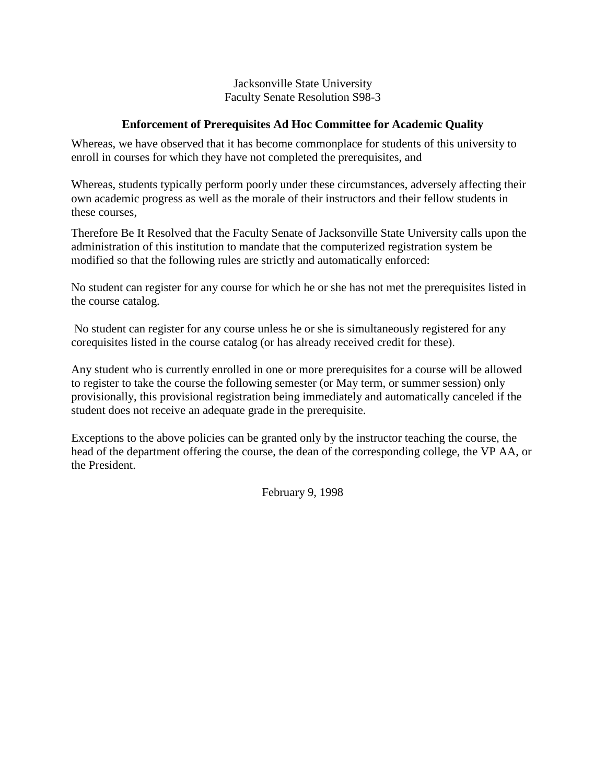## **Enforcement of Prerequisites Ad Hoc Committee for Academic Quality**

Whereas, we have observed that it has become commonplace for students of this university to enroll in courses for which they have not completed the prerequisites, and

Whereas, students typically perform poorly under these circumstances, adversely affecting their own academic progress as well as the morale of their instructors and their fellow students in these courses,

Therefore Be It Resolved that the Faculty Senate of Jacksonville State University calls upon the administration of this institution to mandate that the computerized registration system be modified so that the following rules are strictly and automatically enforced:

No student can register for any course for which he or she has not met the prerequisites listed in the course catalog.

No student can register for any course unless he or she is simultaneously registered for any corequisites listed in the course catalog (or has already received credit for these).

Any student who is currently enrolled in one or more prerequisites for a course will be allowed to register to take the course the following semester (or May term, or summer session) only provisionally, this provisional registration being immediately and automatically canceled if the student does not receive an adequate grade in the prerequisite.

Exceptions to the above policies can be granted only by the instructor teaching the course, the head of the department offering the course, the dean of the corresponding college, the VP AA, or the President.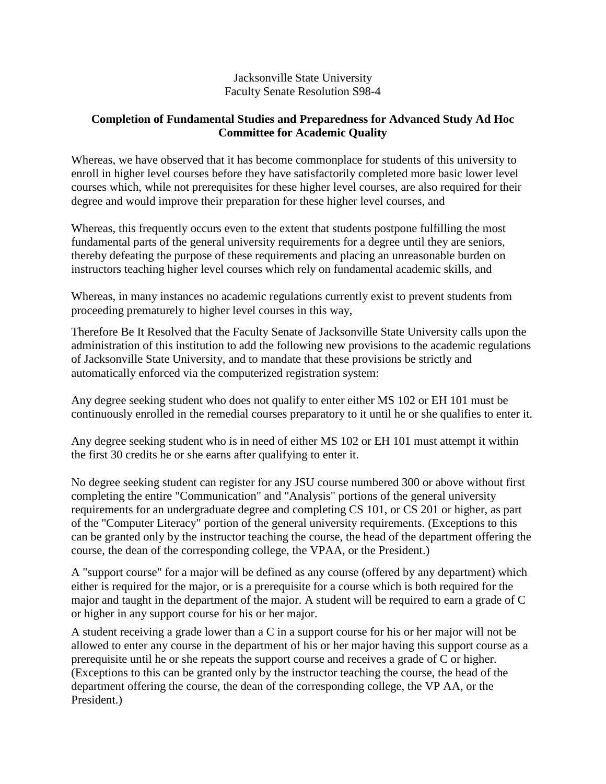## **Completion of Fundamental Studies and Preparedness for Advanced Study Ad Hoc Committee for Academic Quality**

Whereas, we have observed that it has become commonplace for students of this university to enroll in higher level courses before they have satisfactorily completed more basic lower level courses which, while not prerequisites for these higher level courses, are also required for their degree and would improve their preparation for these higher level courses, and

Whereas, this frequently occurs even to the extent that students postpone fulfilling the most fundamental parts of the general university requirements for a degree until they are seniors, thereby defeating the purpose of these requirements and placing an unreasonable burden on instructors teaching higher level courses which rely on fundamental academic skills, and

Whereas, in many instances no academic regulations currently exist to prevent students from proceeding prematurely to higher level courses in this way,

Therefore Be It Resolved that the Faculty Senate of Jacksonville State University calls upon the administration of this institution to add the following new provisions to the academic regulations of Jacksonville State University, and to mandate that these provisions be strictly and automatically enforced via the computerized registration system:

Any degree seeking student who does not qualify to enter either MS 102 or EH 101 must be continuously enrolled in the remedial courses preparatory to it until he or she qualifies to enter it.

Any degree seeking student who is in need of either MS 102 or EH 101 must attempt it within the first 30 credits he or she earns after qualifying to enter it.

No degree seeking student can register for any JSU course numbered 300 or above without first completing the entire "Communication" and "Analysis" portions of the general university requirements for an undergraduate degree and completing CS 101, or CS 201 or higher, as part of the "Computer Literacy" portion of the general university requirements. (Exceptions to this can be granted only by the instructor teaching the course, the head of the department offering the course, the dean of the corresponding college, the VPAA, or the President.)

A "support course" for a major will be defined as any course (offered by any department) which either is required for the major, or is a prerequisite for a course which is both required for the major and taught in the department of the major. A student will be required to earn a grade of C or higher in any support course for his or her major.

A student receiving a grade lower than a C in a support course for his or her major will not be allowed to enter any course in the department of his or her major having this support course as a prerequisite until he or she repeats the support course and receives a grade of C or higher. (Exceptions to this can be granted only by the instructor teaching the course, the head of the department offering the course, the dean of the corresponding college, the VP AA, or the President.)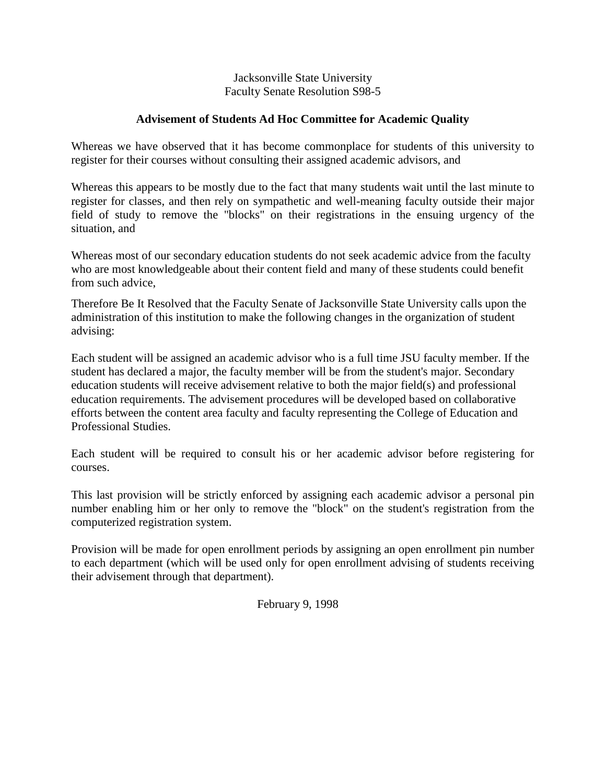## **Advisement of Students Ad Hoc Committee for Academic Quality**

Whereas we have observed that it has become commonplace for students of this university to register for their courses without consulting their assigned academic advisors, and

Whereas this appears to be mostly due to the fact that many students wait until the last minute to register for classes, and then rely on sympathetic and well-meaning faculty outside their major field of study to remove the "blocks" on their registrations in the ensuing urgency of the situation, and

Whereas most of our secondary education students do not seek academic advice from the faculty who are most knowledgeable about their content field and many of these students could benefit from such advice,

Therefore Be It Resolved that the Faculty Senate of Jacksonville State University calls upon the administration of this institution to make the following changes in the organization of student advising:

Each student will be assigned an academic advisor who is a full time JSU faculty member. If the student has declared a major, the faculty member will be from the student's major. Secondary education students will receive advisement relative to both the major field(s) and professional education requirements. The advisement procedures will be developed based on collaborative efforts between the content area faculty and faculty representing the College of Education and Professional Studies.

Each student will be required to consult his or her academic advisor before registering for courses.

This last provision will be strictly enforced by assigning each academic advisor a personal pin number enabling him or her only to remove the "block" on the student's registration from the computerized registration system.

Provision will be made for open enrollment periods by assigning an open enrollment pin number to each department (which will be used only for open enrollment advising of students receiving their advisement through that department).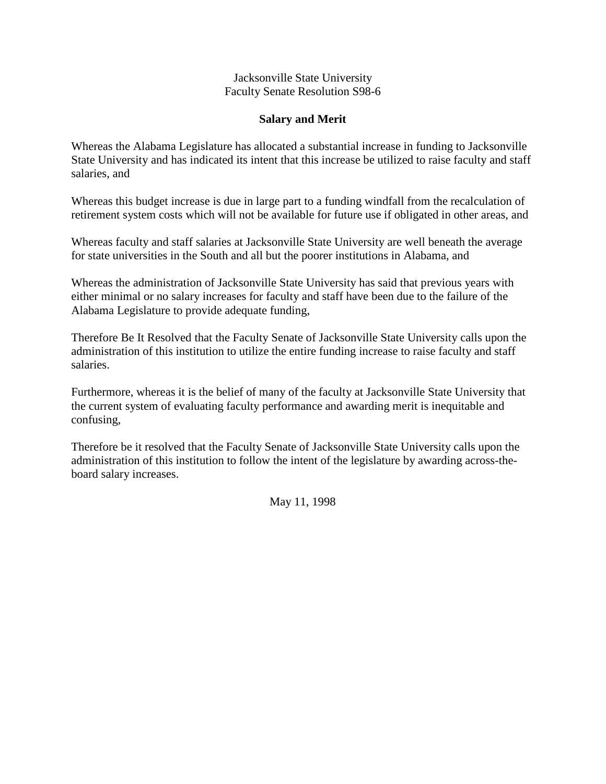## **Salary and Merit**

Whereas the Alabama Legislature has allocated a substantial increase in funding to Jacksonville State University and has indicated its intent that this increase be utilized to raise faculty and staff salaries, and

Whereas this budget increase is due in large part to a funding windfall from the recalculation of retirement system costs which will not be available for future use if obligated in other areas, and

Whereas faculty and staff salaries at Jacksonville State University are well beneath the average for state universities in the South and all but the poorer institutions in Alabama, and

Whereas the administration of Jacksonville State University has said that previous years with either minimal or no salary increases for faculty and staff have been due to the failure of the Alabama Legislature to provide adequate funding,

Therefore Be It Resolved that the Faculty Senate of Jacksonville State University calls upon the administration of this institution to utilize the entire funding increase to raise faculty and staff salaries.

Furthermore, whereas it is the belief of many of the faculty at Jacksonville State University that the current system of evaluating faculty performance and awarding merit is inequitable and confusing,

Therefore be it resolved that the Faculty Senate of Jacksonville State University calls upon the administration of this institution to follow the intent of the legislature by awarding across-theboard salary increases.

May 11, 1998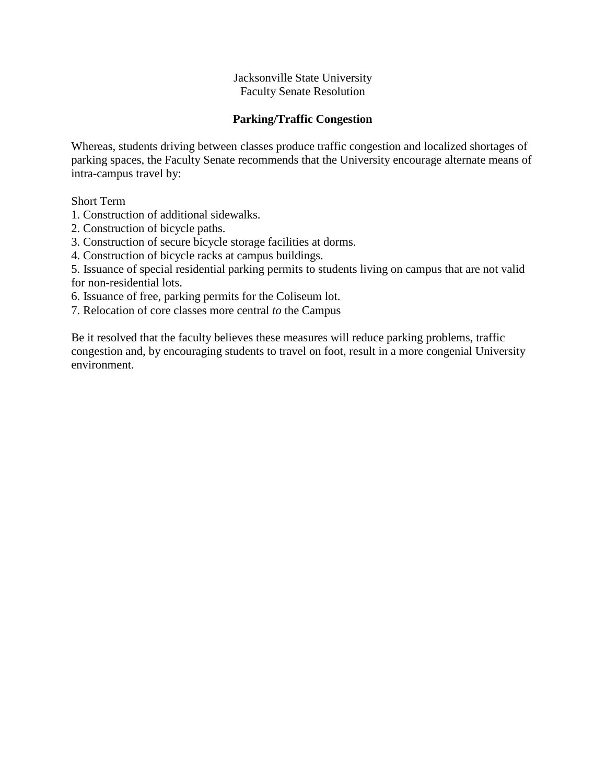## **Parking/Traffic Congestion**

Whereas, students driving between classes produce traffic congestion and localized shortages of parking spaces, the Faculty Senate recommends that the University encourage alternate means of intra-campus travel by:

Short Term

1. Construction of additional sidewalks.

- 2. Construction of bicycle paths.
- 3. Construction of secure bicycle storage facilities at dorms.
- 4. Construction of bicycle racks at campus buildings.

5. Issuance of special residential parking permits to students living on campus that are not valid for non-residential lots.

6. Issuance of free, parking permits for the Coliseum lot.

7. Relocation of core classes more central *to* the Campus

Be it resolved that the faculty believes these measures will reduce parking problems, traffic congestion and, by encouraging students to travel on foot, result in a more congenial University environment.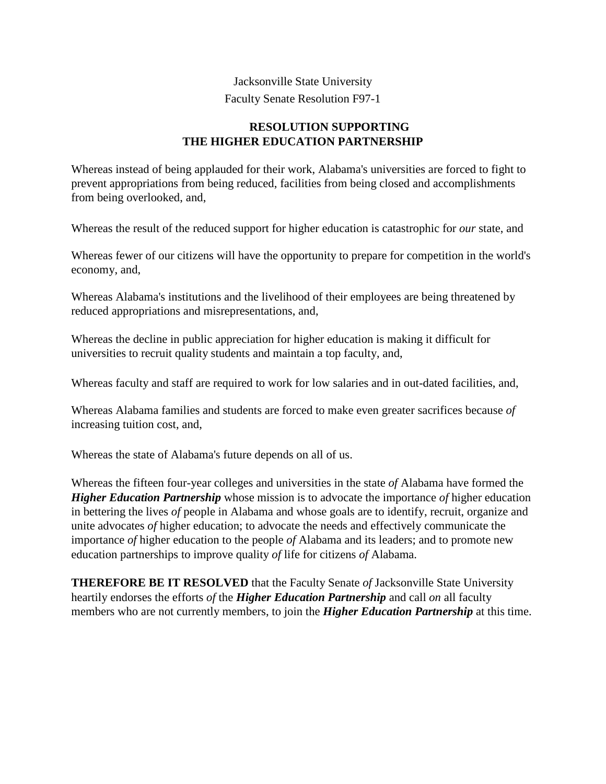## **RESOLUTION SUPPORTING THE HIGHER EDUCATION PARTNERSHIP**

Whereas instead of being applauded for their work, Alabama's universities are forced to fight to prevent appropriations from being reduced, facilities from being closed and accomplishments from being overlooked, and,

Whereas the result of the reduced support for higher education is catastrophic for *our* state, and

Whereas fewer of our citizens will have the opportunity to prepare for competition in the world's economy, and,

Whereas Alabama's institutions and the livelihood of their employees are being threatened by reduced appropriations and misrepresentations, and,

Whereas the decline in public appreciation for higher education is making it difficult for universities to recruit quality students and maintain a top faculty, and,

Whereas faculty and staff are required to work for low salaries and in out-dated facilities, and,

Whereas Alabama families and students are forced to make even greater sacrifices because *of*  increasing tuition cost, and,

Whereas the state of Alabama's future depends on all of us.

Whereas the fifteen four-year colleges and universities in the state *of* Alabama have formed the *Higher Education Partnership* whose mission is to advocate the importance *of* higher education in bettering the lives *of* people in Alabama and whose goals are to identify, recruit, organize and unite advocates *of* higher education; to advocate the needs and effectively communicate the importance *of* higher education to the people *of* Alabama and its leaders; and to promote new education partnerships to improve quality *of* life for citizens *of* Alabama.

**THEREFORE BE IT RESOLVED** that the Faculty Senate *of* Jacksonville State University heartily endorses the efforts *of* the *Higher Education Partnership* and call *on* all faculty members who are not currently members, to join the *Higher Education Partnership* at this time.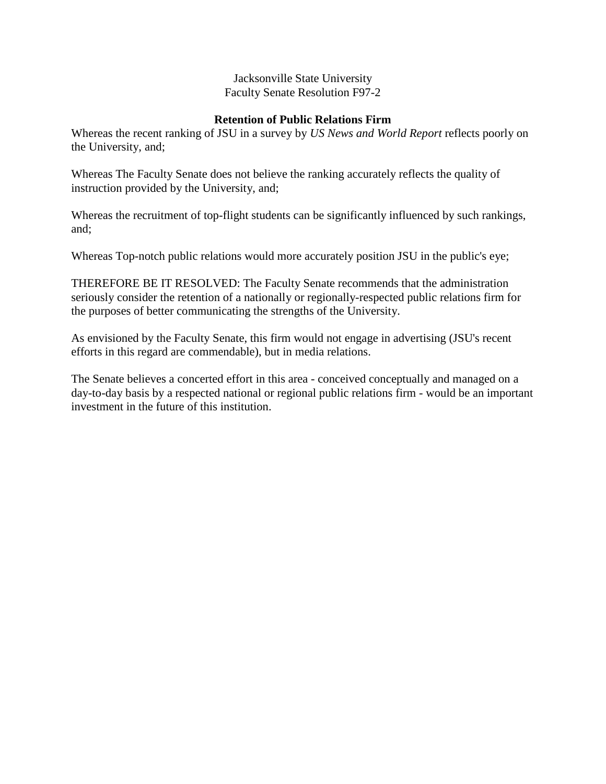## **Retention of Public Relations Firm**

Whereas the recent ranking of JSU in a survey by *US News and World Report* reflects poorly on the University, and;

Whereas The Faculty Senate does not believe the ranking accurately reflects the quality of instruction provided by the University, and;

Whereas the recruitment of top-flight students can be significantly influenced by such rankings, and;

Whereas Top-notch public relations would more accurately position JSU in the public's eye;

THEREFORE BE IT RESOLVED: The Faculty Senate recommends that the administration seriously consider the retention of a nationally or regionally-respected public relations firm for the purposes of better communicating the strengths of the University.

As envisioned by the Faculty Senate, this firm would not engage in advertising (JSU's recent efforts in this regard are commendable), but in media relations.

The Senate believes a concerted effort in this area - conceived conceptually and managed on a day-to-day basis by a respected national or regional public relations firm - would be an important investment in the future of this institution.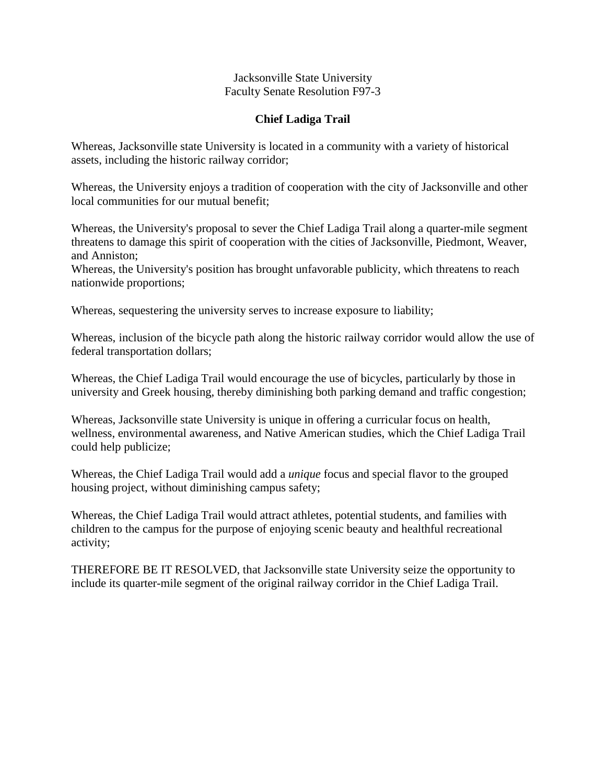## **Chief Ladiga Trail**

Whereas, Jacksonville state University is located in a community with a variety of historical assets, including the historic railway corridor;

Whereas, the University enjoys a tradition of cooperation with the city of Jacksonville and other local communities for our mutual benefit;

Whereas, the University's proposal to sever the Chief Ladiga Trail along a quarter-mile segment threatens to damage this spirit of cooperation with the cities of Jacksonville, Piedmont, Weaver, and Anniston;

Whereas, the University's position has brought unfavorable publicity, which threatens to reach nationwide proportions;

Whereas, sequestering the university serves to increase exposure to liability;

Whereas, inclusion of the bicycle path along the historic railway corridor would allow the use of federal transportation dollars;

Whereas, the Chief Ladiga Trail would encourage the use of bicycles, particularly by those in university and Greek housing, thereby diminishing both parking demand and traffic congestion;

Whereas, Jacksonville state University is unique in offering a curricular focus on health, wellness, environmental awareness, and Native American studies, which the Chief Ladiga Trail could help publicize;

Whereas, the Chief Ladiga Trail would add a *unique* focus and special flavor to the grouped housing project, without diminishing campus safety;

Whereas, the Chief Ladiga Trail would attract athletes, potential students, and families with children to the campus for the purpose of enjoying scenic beauty and healthful recreational activity;

THEREFORE BE IT RESOLVED, that Jacksonville state University seize the opportunity to include its quarter-mile segment of the original railway corridor in the Chief Ladiga Trail.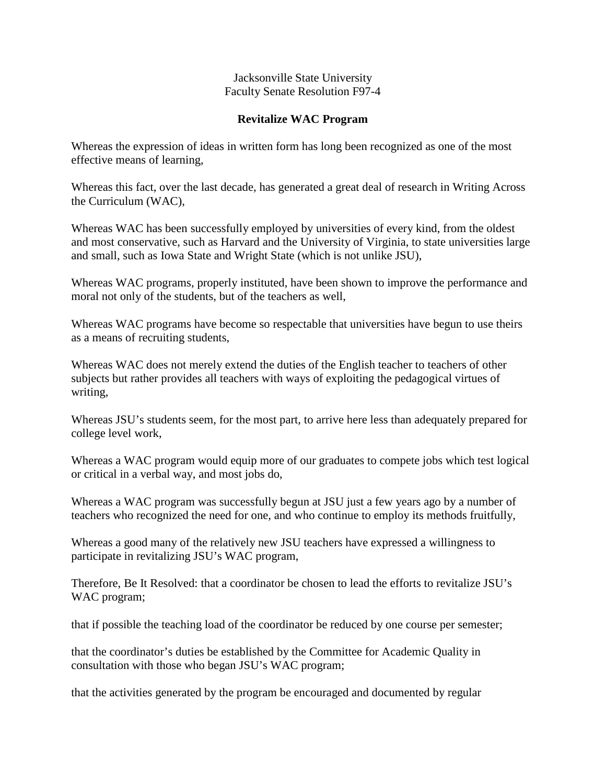## **Revitalize WAC Program**

Whereas the expression of ideas in written form has long been recognized as one of the most effective means of learning,

Whereas this fact, over the last decade, has generated a great deal of research in Writing Across the Curriculum (WAC),

Whereas WAC has been successfully employed by universities of every kind, from the oldest and most conservative, such as Harvard and the University of Virginia, to state universities large and small, such as Iowa State and Wright State (which is not unlike JSU),

Whereas WAC programs, properly instituted, have been shown to improve the performance and moral not only of the students, but of the teachers as well,

Whereas WAC programs have become so respectable that universities have begun to use theirs as a means of recruiting students,

Whereas WAC does not merely extend the duties of the English teacher to teachers of other subjects but rather provides all teachers with ways of exploiting the pedagogical virtues of writing,

Whereas JSU's students seem, for the most part, to arrive here less than adequately prepared for college level work,

Whereas a WAC program would equip more of our graduates to compete jobs which test logical or critical in a verbal way, and most jobs do,

Whereas a WAC program was successfully begun at JSU just a few years ago by a number of teachers who recognized the need for one, and who continue to employ its methods fruitfully,

Whereas a good many of the relatively new JSU teachers have expressed a willingness to participate in revitalizing JSU's WAC program,

Therefore, Be It Resolved: that a coordinator be chosen to lead the efforts to revitalize JSU's WAC program;

that if possible the teaching load of the coordinator be reduced by one course per semester;

that the coordinator's duties be established by the Committee for Academic Quality in consultation with those who began JSU's WAC program;

that the activities generated by the program be encouraged and documented by regular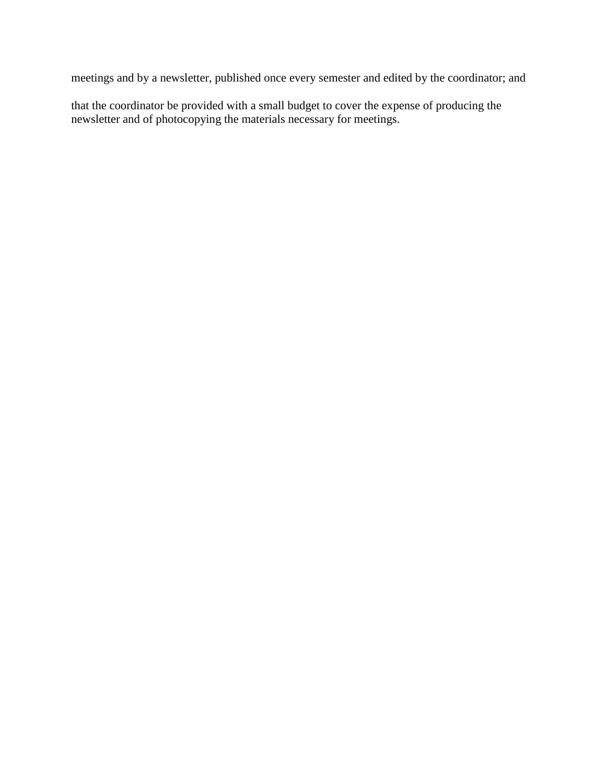meetings and by a newsletter, published once every semester and edited by the coordinator; and

that the coordinator be provided with a small budget to cover the expense of producing the newsletter and of photocopying the materials necessary for meetings.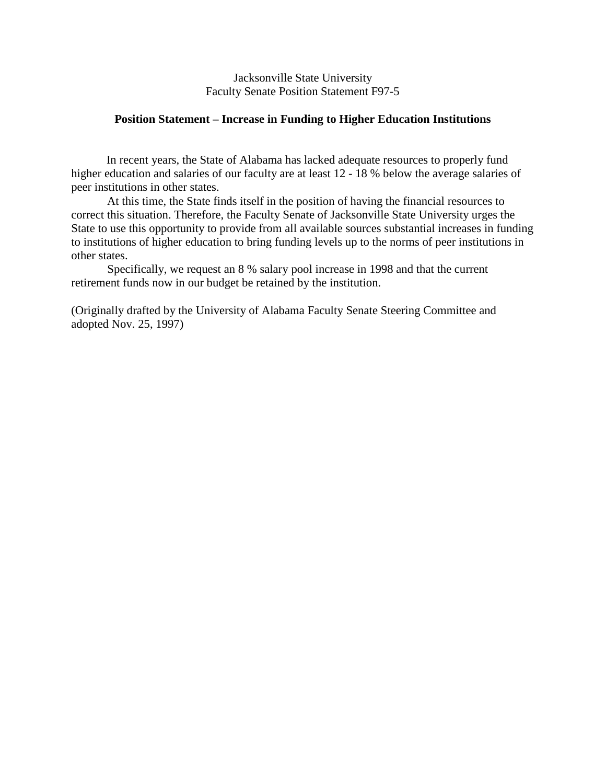Jacksonville State University Faculty Senate Position Statement F97-5

#### **Position Statement – Increase in Funding to Higher Education Institutions**

In recent years, the State of Alabama has lacked adequate resources to properly fund higher education and salaries of our faculty are at least 12 - 18 % below the average salaries of peer institutions in other states.

At this time, the State finds itself in the position of having the financial resources to correct this situation. Therefore, the Faculty Senate of Jacksonville State University urges the State to use this opportunity to provide from all available sources substantial increases in funding to institutions of higher education to bring funding levels up to the norms of peer institutions in other states.

Specifically, we request an 8 % salary pool increase in 1998 and that the current retirement funds now in our budget be retained by the institution.

(Originally drafted by the University of Alabama Faculty Senate Steering Committee and adopted Nov. 25, 1997)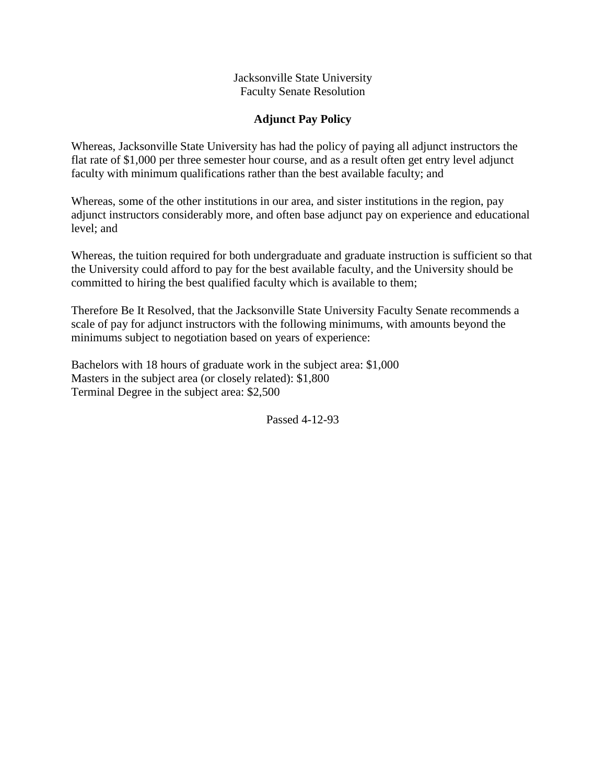## **Adjunct Pay Policy**

Whereas, Jacksonville State University has had the policy of paying all adjunct instructors the flat rate of \$1,000 per three semester hour course, and as a result often get entry level adjunct faculty with minimum qualifications rather than the best available faculty; and

Whereas, some of the other institutions in our area, and sister institutions in the region, pay adjunct instructors considerably more, and often base adjunct pay on experience and educational level; and

Whereas, the tuition required for both undergraduate and graduate instruction is sufficient so that the University could afford to pay for the best available faculty, and the University should be committed to hiring the best qualified faculty which is available to them;

Therefore Be It Resolved, that the Jacksonville State University Faculty Senate recommends a scale of pay for adjunct instructors with the following minimums, with amounts beyond the minimums subject to negotiation based on years of experience:

Bachelors with 18 hours of graduate work in the subject area: \$1,000 Masters in the subject area (or closely related): \$1,800 Terminal Degree in the subject area: \$2,500

Passed 4-12-93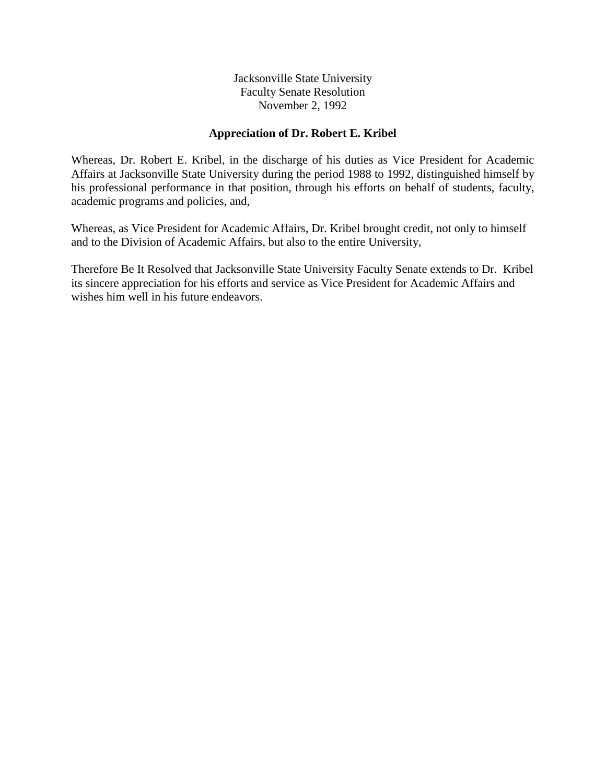#### **Appreciation of Dr. Robert E. Kribel**

Whereas, Dr. Robert E. Kribel, in the discharge of his duties as Vice President for Academic Affairs at Jacksonville State University during the period 1988 to 1992, distinguished himself by his professional performance in that position, through his efforts on behalf of students, faculty, academic programs and policies, and,

Whereas, as Vice President for Academic Affairs, Dr. Kribel brought credit, not only to himself and to the Division of Academic Affairs, but also to the entire University,

Therefore Be It Resolved that Jacksonville State University Faculty Senate extends to Dr. Kribel its sincere appreciation for his efforts and service as Vice President for Academic Affairs and wishes him well in his future endeavors.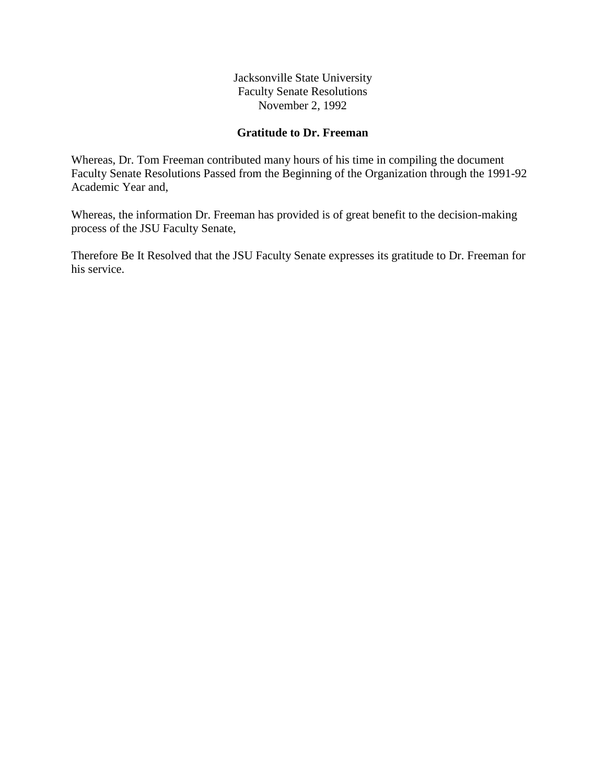Jacksonville State University Faculty Senate Resolutions November 2, 1992

## **Gratitude to Dr. Freeman**

Whereas, Dr. Tom Freeman contributed many hours of his time in compiling the document Faculty Senate Resolutions Passed from the Beginning of the Organization through the 1991-92 Academic Year and,

Whereas, the information Dr. Freeman has provided is of great benefit to the decision-making process of the JSU Faculty Senate,

Therefore Be It Resolved that the JSU Faculty Senate expresses its gratitude to Dr. Freeman for his service.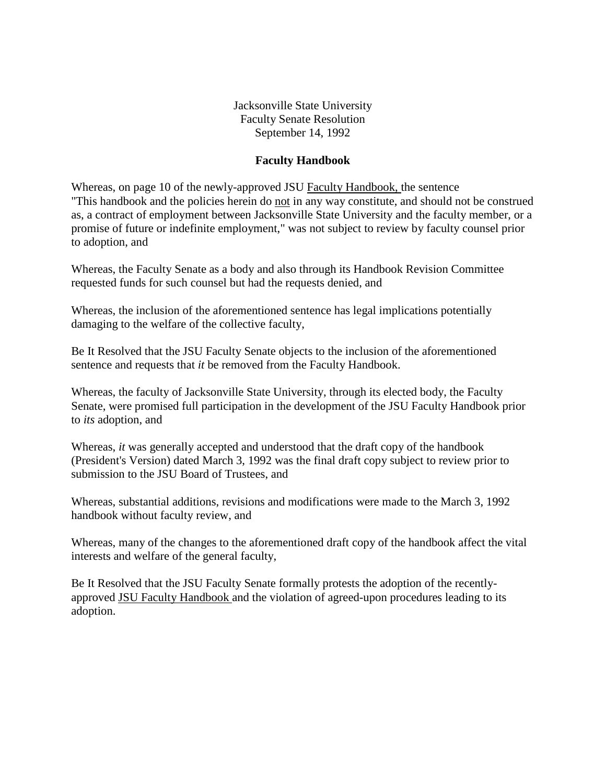Jacksonville State University Faculty Senate Resolution September 14, 1992

#### **Faculty Handbook**

Whereas, on page 10 of the newly-approved JSU Faculty Handbook, the sentence "This handbook and the policies herein do not in any way constitute, and should not be construed as, a contract of employment between Jacksonville State University and the faculty member, or a promise of future or indefinite employment," was not subject to review by faculty counsel prior to adoption, and

Whereas, the Faculty Senate as a body and also through its Handbook Revision Committee requested funds for such counsel but had the requests denied, and

Whereas, the inclusion of the aforementioned sentence has legal implications potentially damaging to the welfare of the collective faculty,

Be It Resolved that the JSU Faculty Senate objects to the inclusion of the aforementioned sentence and requests that *it* be removed from the Faculty Handbook.

Whereas, the faculty of Jacksonville State University, through its elected body, the Faculty Senate, were promised full participation in the development of the JSU Faculty Handbook prior to *its* adoption, and

Whereas, *it* was generally accepted and understood that the draft copy of the handbook (President's Version) dated March 3, 1992 was the final draft copy subject to review prior to submission to the JSU Board of Trustees, and

Whereas, substantial additions, revisions and modifications were made to the March 3, 1992 handbook without faculty review, and

Whereas, many of the changes to the aforementioned draft copy of the handbook affect the vital interests and welfare of the general faculty,

Be It Resolved that the JSU Faculty Senate formally protests the adoption of the recentlyapproved JSU Faculty Handbook and the violation of agreed-upon procedures leading to its adoption.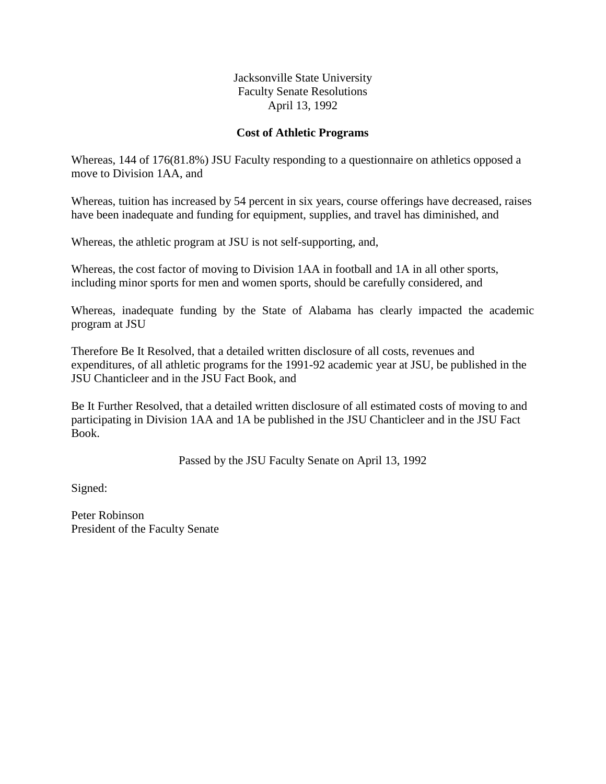#### **Cost of Athletic Programs**

Whereas, 144 of 176(81.8%) JSU Faculty responding to a questionnaire on athletics opposed a move to Division 1AA, and

Whereas, tuition has increased by 54 percent in six years, course offerings have decreased, raises have been inadequate and funding for equipment, supplies, and travel has diminished, and

Whereas, the athletic program at JSU is not self-supporting, and,

Whereas, the cost factor of moving to Division 1AA in football and 1A in all other sports, including minor sports for men and women sports, should be carefully considered, and

Whereas, inadequate funding by the State of Alabama has clearly impacted the academic program at JSU

Therefore Be It Resolved, that a detailed written disclosure of all costs, revenues and expenditures, of all athletic programs for the 1991-92 academic year at JSU, be published in the JSU Chanticleer and in the JSU Fact Book, and

Be It Further Resolved, that a detailed written disclosure of all estimated costs of moving to and participating in Division 1AA and 1A be published in the JSU Chanticleer and in the JSU Fact Book.

Passed by the JSU Faculty Senate on April 13, 1992

Signed:

Peter Robinson President of the Faculty Senate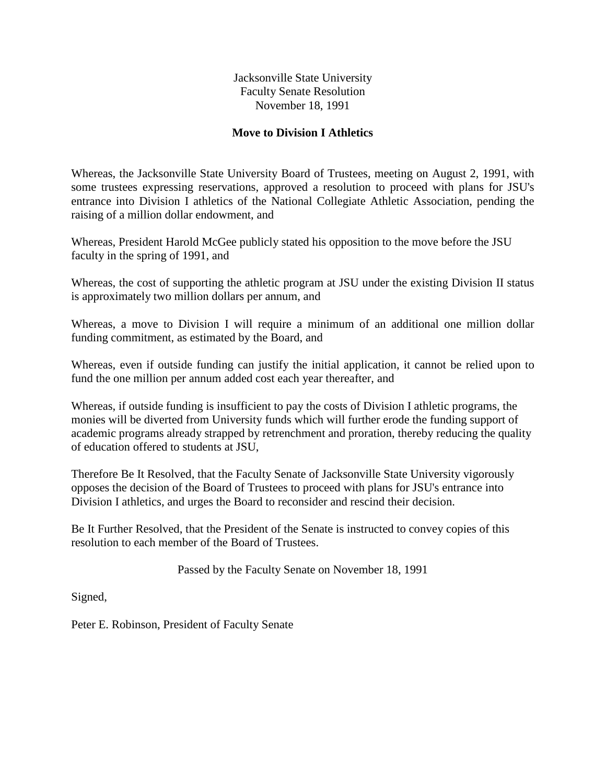Jacksonville State University Faculty Senate Resolution November 18, 1991

### **Move to Division I Athletics**

Whereas, the Jacksonville State University Board of Trustees, meeting on August 2, 1991, with some trustees expressing reservations, approved a resolution to proceed with plans for JSU's entrance into Division I athletics of the National Collegiate Athletic Association, pending the raising of a million dollar endowment, and

Whereas, President Harold McGee publicly stated his opposition to the move before the JSU faculty in the spring of 1991, and

Whereas, the cost of supporting the athletic program at JSU under the existing Division II status is approximately two million dollars per annum, and

Whereas, a move to Division I will require a minimum of an additional one million dollar funding commitment, as estimated by the Board, and

Whereas, even if outside funding can justify the initial application, it cannot be relied upon to fund the one million per annum added cost each year thereafter, and

Whereas, if outside funding is insufficient to pay the costs of Division I athletic programs, the monies will be diverted from University funds which will further erode the funding support of academic programs already strapped by retrenchment and proration, thereby reducing the quality of education offered to students at JSU,

Therefore Be It Resolved, that the Faculty Senate of Jacksonville State University vigorously opposes the decision of the Board of Trustees to proceed with plans for JSU's entrance into Division I athletics, and urges the Board to reconsider and rescind their decision.

Be It Further Resolved, that the President of the Senate is instructed to convey copies of this resolution to each member of the Board of Trustees.

Passed by the Faculty Senate on November 18, 1991

Signed,

Peter E. Robinson, President of Faculty Senate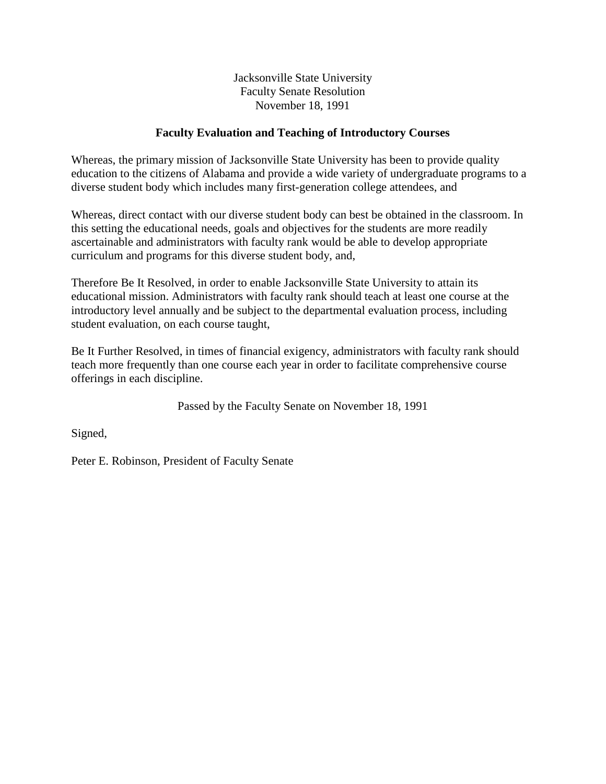Jacksonville State University Faculty Senate Resolution November 18, 1991

## **Faculty Evaluation and Teaching of Introductory Courses**

Whereas, the primary mission of Jacksonville State University has been to provide quality education to the citizens of Alabama and provide a wide variety of undergraduate programs to a diverse student body which includes many first-generation college attendees, and

Whereas, direct contact with our diverse student body can best be obtained in the classroom. In this setting the educational needs, goals and objectives for the students are more readily ascertainable and administrators with faculty rank would be able to develop appropriate curriculum and programs for this diverse student body, and,

Therefore Be It Resolved, in order to enable Jacksonville State University to attain its educational mission. Administrators with faculty rank should teach at least one course at the introductory level annually and be subject to the departmental evaluation process, including student evaluation, on each course taught,

Be It Further Resolved, in times of financial exigency, administrators with faculty rank should teach more frequently than one course each year in order to facilitate comprehensive course offerings in each discipline.

Passed by the Faculty Senate on November 18, 1991

Signed,

Peter E. Robinson, President of Faculty Senate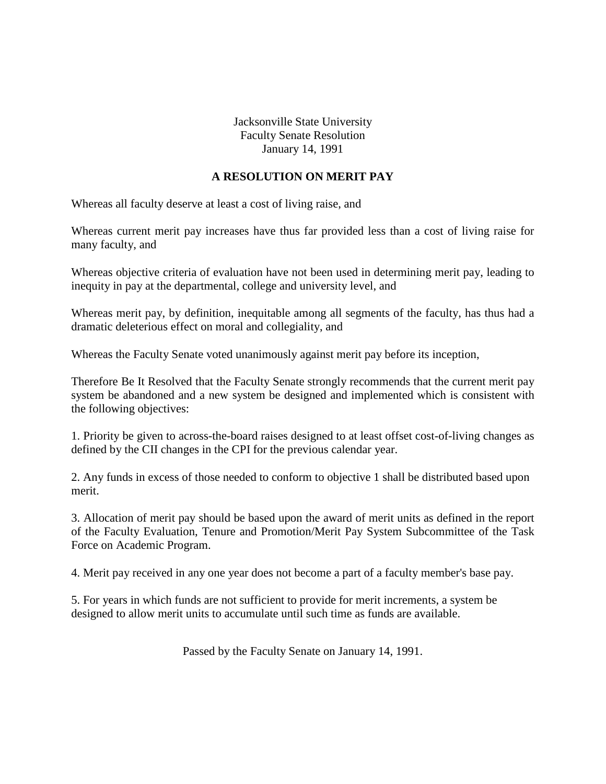## **A RESOLUTION ON MERIT PAY**

Whereas all faculty deserve at least a cost of living raise, and

Whereas current merit pay increases have thus far provided less than a cost of living raise for many faculty, and

Whereas objective criteria of evaluation have not been used in determining merit pay, leading to inequity in pay at the departmental, college and university level, and

Whereas merit pay, by definition, inequitable among all segments of the faculty, has thus had a dramatic deleterious effect on moral and collegiality, and

Whereas the Faculty Senate voted unanimously against merit pay before its inception,

Therefore Be It Resolved that the Faculty Senate strongly recommends that the current merit pay system be abandoned and a new system be designed and implemented which is consistent with the following objectives:

1. Priority be given to across-the-board raises designed to at least offset cost-of-living changes as defined by the CII changes in the CPI for the previous calendar year.

2. Any funds in excess of those needed to conform to objective 1 shall be distributed based upon merit.

3. Allocation of merit pay should be based upon the award of merit units as defined in the report of the Faculty Evaluation, Tenure and Promotion/Merit Pay System Subcommittee of the Task Force on Academic Program.

4. Merit pay received in any one year does not become a part of a faculty member's base pay.

5. For years in which funds are not sufficient to provide for merit increments, a system be designed to allow merit units to accumulate until such time as funds are available.

Passed by the Faculty Senate on January 14, 1991.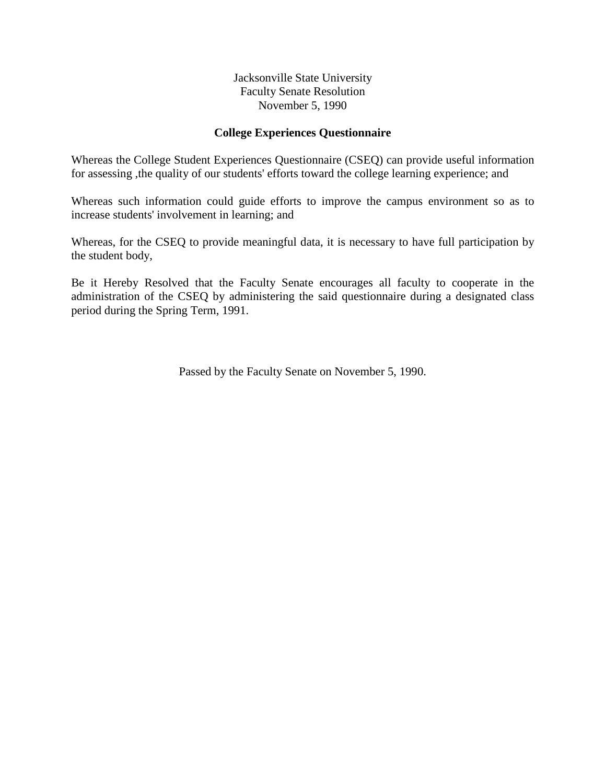#### **College Experiences Questionnaire**

Whereas the College Student Experiences Questionnaire (CSEQ) can provide useful information for assessing ,the quality of our students' efforts toward the college learning experience; and

Whereas such information could guide efforts to improve the campus environment so as to increase students' involvement in learning; and

Whereas, for the CSEQ to provide meaningful data, it is necessary to have full participation by the student body,

Be it Hereby Resolved that the Faculty Senate encourages all faculty to cooperate in the administration of the CSEQ by administering the said questionnaire during a designated class period during the Spring Term, 1991.

Passed by the Faculty Senate on November 5, 1990.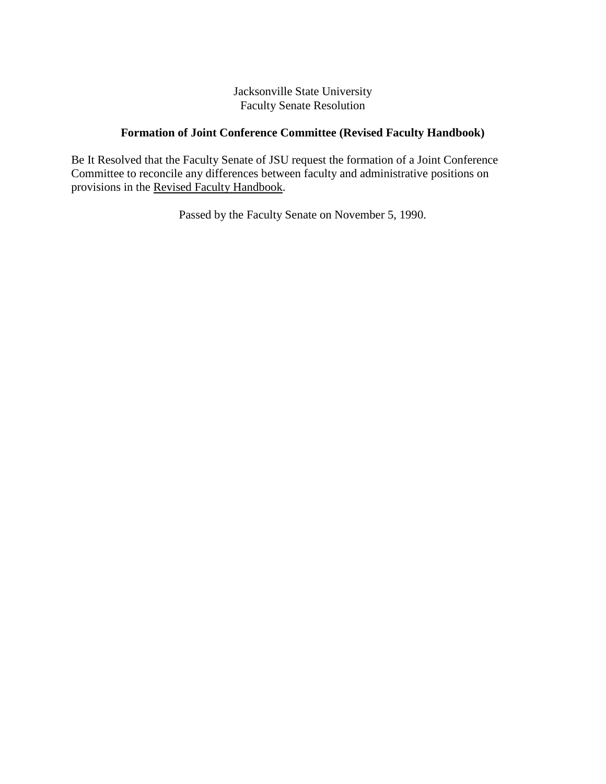## **Formation of Joint Conference Committee (Revised Faculty Handbook)**

Be It Resolved that the Faculty Senate of JSU request the formation of a Joint Conference Committee to reconcile any differences between faculty and administrative positions on provisions in the Revised Faculty Handbook.

Passed by the Faculty Senate on November 5, 1990.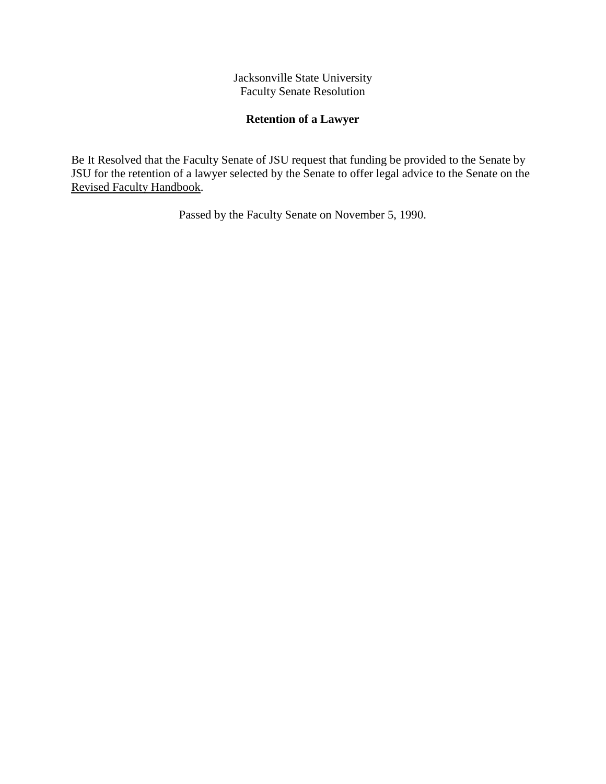## **Retention of a Lawyer**

Be It Resolved that the Faculty Senate of JSU request that funding be provided to the Senate by JSU for the retention of a lawyer selected by the Senate to offer legal advice to the Senate on the Revised Faculty Handbook.

Passed by the Faculty Senate on November 5, 1990.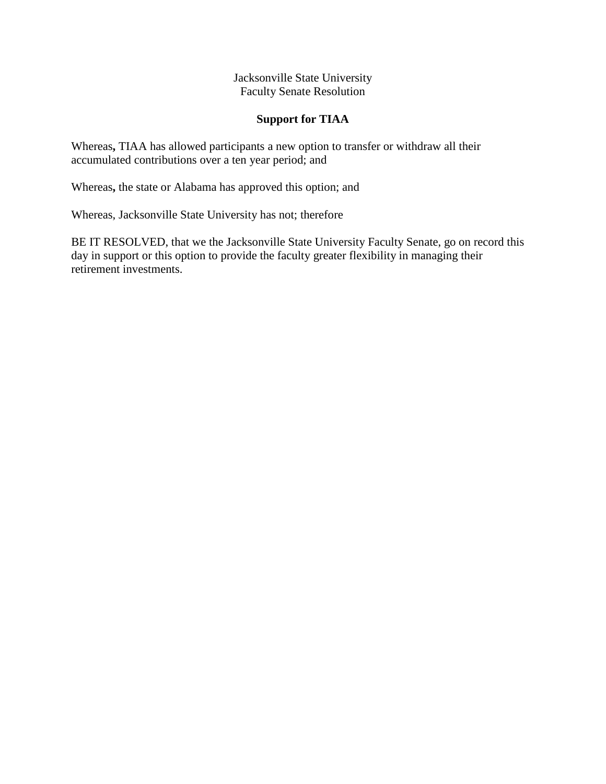## **Support for TIAA**

Whereas**,** TIAA has allowed participants a new option to transfer or withdraw all their accumulated contributions over a ten year period; and

Whereas**,** the state or Alabama has approved this option; and

Whereas, Jacksonville State University has not; therefore

BE IT RESOLVED, that we the Jacksonville State University Faculty Senate, go on record this day in support or this option to provide the faculty greater flexibility in managing their retirement investments.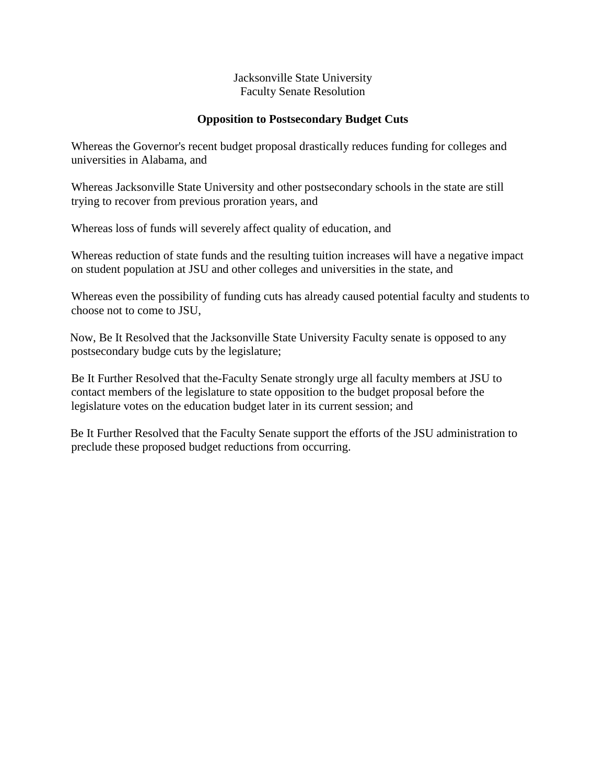## **Opposition to Postsecondary Budget Cuts**

Whereas the Governor's recent budget proposal drastically reduces funding for colleges and universities in Alabama, and

Whereas Jacksonville State University and other postsecondary schools in the state are still trying to recover from previous proration years, and

Whereas loss of funds will severely affect quality of education, and

Whereas reduction of state funds and the resulting tuition increases will have a negative impact on student population at JSU and other colleges and universities in the state, and

Whereas even the possibility of funding cuts has already caused potential faculty and students to choose not to come to JSU,

Now, Be It Resolved that the Jacksonville State University Faculty senate is opposed to any postsecondary budge cuts by the legislature;

Be It Further Resolved that the-Faculty Senate strongly urge all faculty members at JSU to contact members of the legislature to state opposition to the budget proposal before the legislature votes on the education budget later in its current session; and

Be It Further Resolved that the Faculty Senate support the efforts of the JSU administration to preclude these proposed budget reductions from occurring.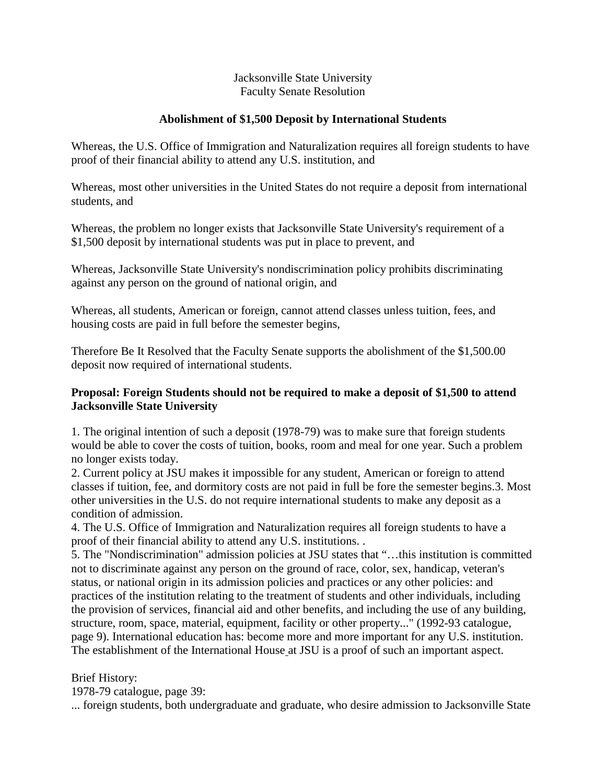## **Abolishment of \$1,500 Deposit by International Students**

Whereas, the U.S. Office of Immigration and Naturalization requires all foreign students to have proof of their financial ability to attend any U.S. institution, and

Whereas, most other universities in the United States do not require a deposit from international students, and

Whereas, the problem no longer exists that Jacksonville State University's requirement of a \$1,500 deposit by international students was put in place to prevent, and

Whereas, Jacksonville State University's nondiscrimination policy prohibits discriminating against any person on the ground of national origin, and

Whereas, all students, American or foreign, cannot attend classes unless tuition, fees, and housing costs are paid in full before the semester begins,

Therefore Be It Resolved that the Faculty Senate supports the abolishment of the \$1,500.00 deposit now required of international students.

## **Proposal: Foreign Students should not be required to make a deposit of \$1,500 to attend Jacksonville State University**

1. The original intention of such a deposit (1978-79) was to make sure that foreign students would be able to cover the costs of tuition, books, room and meal for one year. Such a problem no longer exists today.

2. Current policy at JSU makes it impossible for any student, American or foreign to attend classes if tuition, fee, and dormitory costs are not paid in full be fore the semester begins.3. Most other universities in the U.S. do not require international students to make any deposit as a condition of admission.

4. The U.S. Office of Immigration and Naturalization requires all foreign students to have a proof of their financial ability to attend any U.S. institutions. .

5. The "Nondiscrimination" admission policies at JSU states that "…this institution is committed not to discriminate against any person on the ground of race, color, sex, handicap, veteran's status, or national origin in its admission policies and practices or any other policies: and practices of the institution relating to the treatment of students and other individuals, including the provision of services, financial aid and other benefits, and including the use of any building, structure, room, space, material, equipment, facility or other property..." (1992-93 catalogue, page 9). International education has: become more and more important for any U.S. institution. The establishment of the International House at JSU is a proof of such an important aspect.

Brief History:

1978-79 catalogue, page 39:

... foreign students, both undergraduate and graduate, who desire admission to Jacksonville State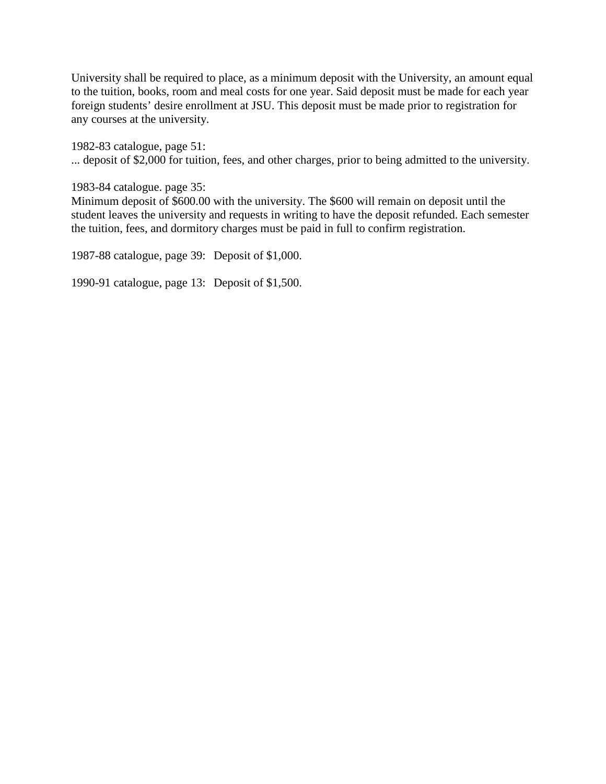University shall be required to place, as a minimum deposit with the University, an amount equal to the tuition, books, room and meal costs for one year. Said deposit must be made for each year foreign students' desire enrollment at JSU. This deposit must be made prior to registration for any courses at the university.

1982-83 catalogue, page 51: ... deposit of \$2,000 for tuition, fees, and other charges, prior to being admitted to the university.

1983-84 catalogue. page 35:

Minimum deposit of \$600.00 with the university. The \$600 will remain on deposit until the student leaves the university and requests in writing to have the deposit refunded. Each semester the tuition, fees, and dormitory charges must be paid in full to confirm registration.

1987-88 catalogue, page 39: Deposit of \$1,000.

1990-91 catalogue, page 13: Deposit of \$1,500.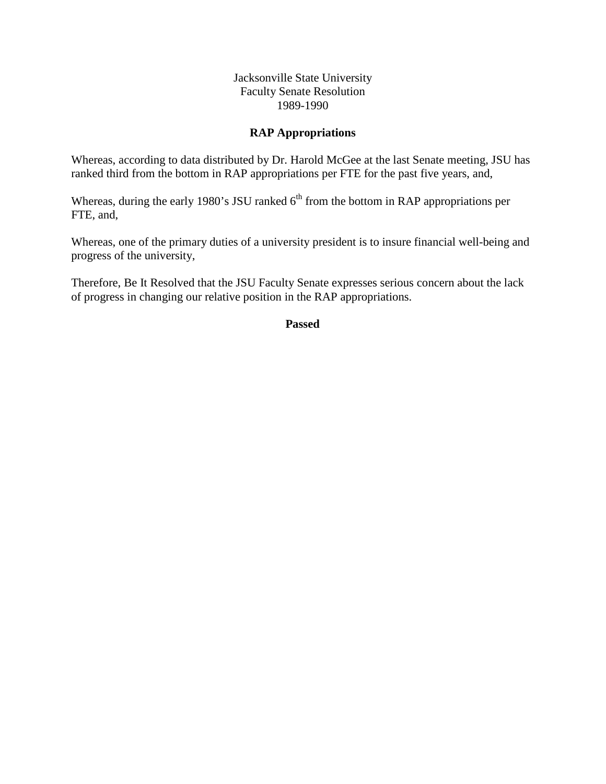#### **RAP Appropriations**

Whereas, according to data distributed by Dr. Harold McGee at the last Senate meeting, JSU has ranked third from the bottom in RAP appropriations per FTE for the past five years, and,

Whereas, during the early 1980's JSU ranked  $6<sup>th</sup>$  from the bottom in RAP appropriations per FTE, and,

Whereas, one of the primary duties of a university president is to insure financial well-being and progress of the university,

Therefore, Be It Resolved that the JSU Faculty Senate expresses serious concern about the lack of progress in changing our relative position in the RAP appropriations.

**Passed**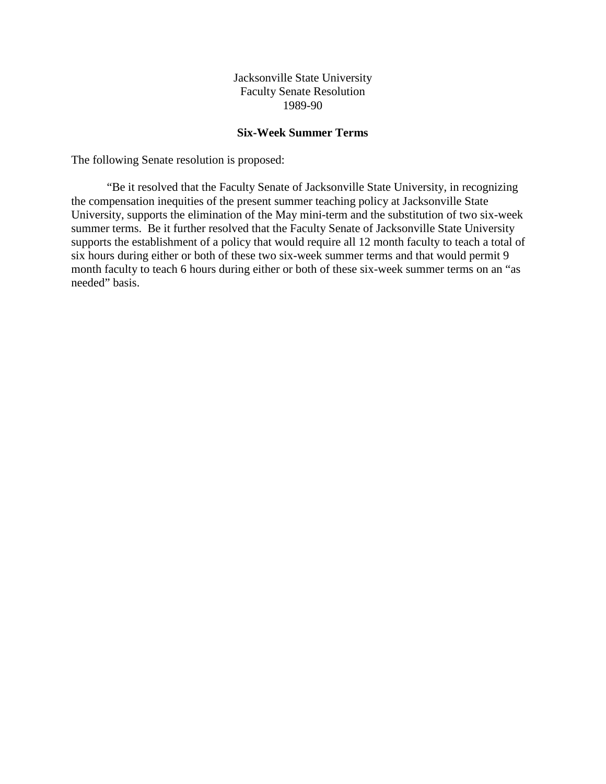#### **Six-Week Summer Terms**

The following Senate resolution is proposed:

"Be it resolved that the Faculty Senate of Jacksonville State University, in recognizing the compensation inequities of the present summer teaching policy at Jacksonville State University, supports the elimination of the May mini-term and the substitution of two six-week summer terms. Be it further resolved that the Faculty Senate of Jacksonville State University supports the establishment of a policy that would require all 12 month faculty to teach a total of six hours during either or both of these two six-week summer terms and that would permit 9 month faculty to teach 6 hours during either or both of these six-week summer terms on an "as needed" basis.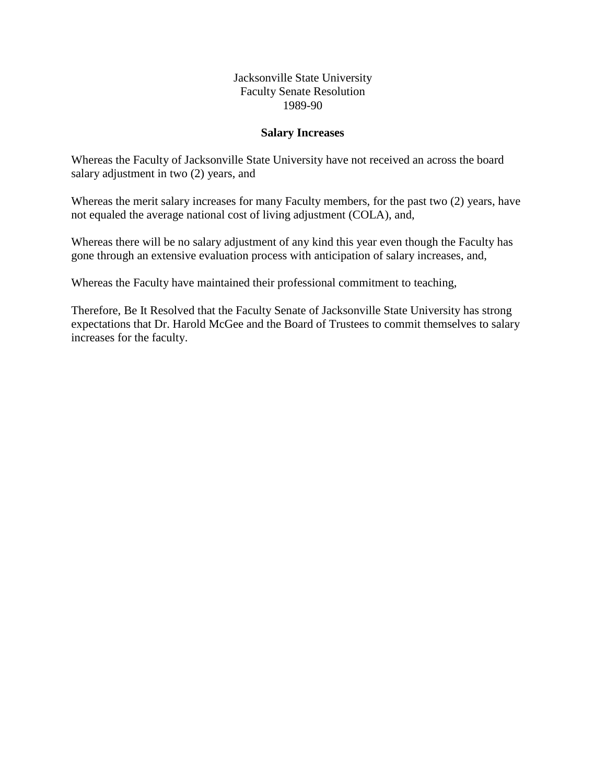#### **Salary Increases**

Whereas the Faculty of Jacksonville State University have not received an across the board salary adjustment in two (2) years, and

Whereas the merit salary increases for many Faculty members, for the past two (2) years, have not equaled the average national cost of living adjustment (COLA), and,

Whereas there will be no salary adjustment of any kind this year even though the Faculty has gone through an extensive evaluation process with anticipation of salary increases, and,

Whereas the Faculty have maintained their professional commitment to teaching,

Therefore, Be It Resolved that the Faculty Senate of Jacksonville State University has strong expectations that Dr. Harold McGee and the Board of Trustees to commit themselves to salary increases for the faculty.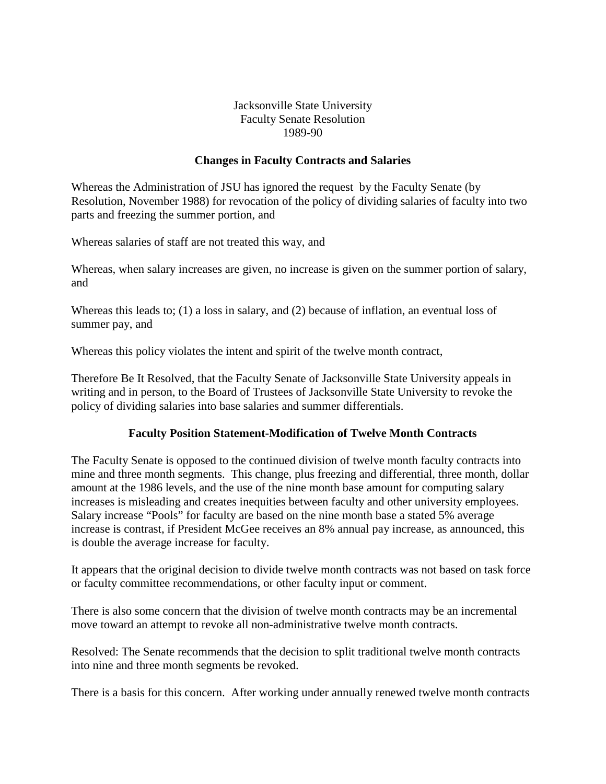### **Changes in Faculty Contracts and Salaries**

Whereas the Administration of JSU has ignored the request by the Faculty Senate (by Resolution, November 1988) for revocation of the policy of dividing salaries of faculty into two parts and freezing the summer portion, and

Whereas salaries of staff are not treated this way, and

Whereas, when salary increases are given, no increase is given on the summer portion of salary, and

Whereas this leads to; (1) a loss in salary, and (2) because of inflation, an eventual loss of summer pay, and

Whereas this policy violates the intent and spirit of the twelve month contract,

Therefore Be It Resolved, that the Faculty Senate of Jacksonville State University appeals in writing and in person, to the Board of Trustees of Jacksonville State University to revoke the policy of dividing salaries into base salaries and summer differentials.

#### **Faculty Position Statement-Modification of Twelve Month Contracts**

The Faculty Senate is opposed to the continued division of twelve month faculty contracts into mine and three month segments. This change, plus freezing and differential, three month, dollar amount at the 1986 levels, and the use of the nine month base amount for computing salary increases is misleading and creates inequities between faculty and other university employees. Salary increase "Pools" for faculty are based on the nine month base a stated 5% average increase is contrast, if President McGee receives an 8% annual pay increase, as announced, this is double the average increase for faculty.

It appears that the original decision to divide twelve month contracts was not based on task force or faculty committee recommendations, or other faculty input or comment.

There is also some concern that the division of twelve month contracts may be an incremental move toward an attempt to revoke all non-administrative twelve month contracts.

Resolved: The Senate recommends that the decision to split traditional twelve month contracts into nine and three month segments be revoked.

There is a basis for this concern. After working under annually renewed twelve month contracts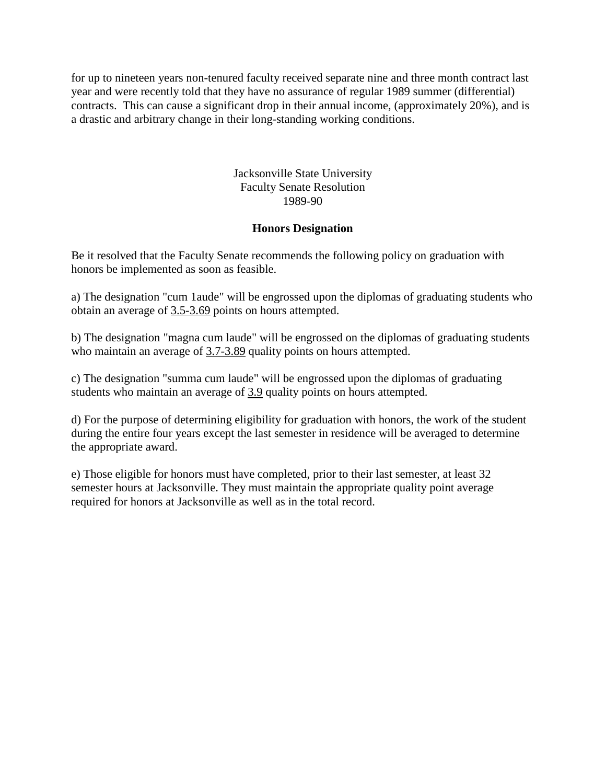for up to nineteen years non-tenured faculty received separate nine and three month contract last year and were recently told that they have no assurance of regular 1989 summer (differential) contracts. This can cause a significant drop in their annual income, (approximately 20%), and is a drastic and arbitrary change in their long-standing working conditions.

> Jacksonville State University Faculty Senate Resolution 1989-90

## **Honors Designation**

Be it resolved that the Faculty Senate recommends the following policy on graduation with honors be implemented as soon as feasible.

a) The designation "cum 1aude" will be engrossed upon the diplomas of graduating students who obtain an average of 3.5-3.69 points on hours attempted.

b) The designation "magna cum laude" will be engrossed on the diplomas of graduating students who maintain an average of 3.7-3.89 quality points on hours attempted.

c) The designation "summa cum laude" will be engrossed upon the diplomas of graduating students who maintain an average of 3.9 quality points on hours attempted.

d) For the purpose of determining eligibility for graduation with honors, the work of the student during the entire four years except the last semester in residence will be averaged to determine the appropriate award.

e) Those eligible for honors must have completed, prior to their last semester, at least 32 semester hours at Jacksonville. They must maintain the appropriate quality point average required for honors at Jacksonville as well as in the total record.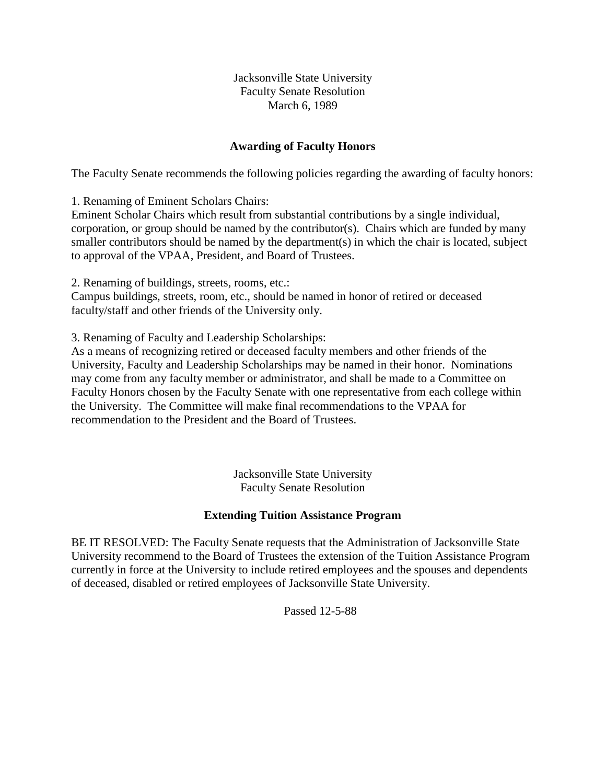## **Awarding of Faculty Honors**

The Faculty Senate recommends the following policies regarding the awarding of faculty honors:

1. Renaming of Eminent Scholars Chairs:

Eminent Scholar Chairs which result from substantial contributions by a single individual, corporation, or group should be named by the contributor(s). Chairs which are funded by many smaller contributors should be named by the department(s) in which the chair is located, subject to approval of the VPAA, President, and Board of Trustees.

2. Renaming of buildings, streets, rooms, etc.:

Campus buildings, streets, room, etc., should be named in honor of retired or deceased faculty/staff and other friends of the University only.

3. Renaming of Faculty and Leadership Scholarships:

As a means of recognizing retired or deceased faculty members and other friends of the University, Faculty and Leadership Scholarships may be named in their honor. Nominations may come from any faculty member or administrator, and shall be made to a Committee on Faculty Honors chosen by the Faculty Senate with one representative from each college within the University. The Committee will make final recommendations to the VPAA for recommendation to the President and the Board of Trustees.

> Jacksonville State University Faculty Senate Resolution

## **Extending Tuition Assistance Program**

BE IT RESOLVED: The Faculty Senate requests that the Administration of Jacksonville State University recommend to the Board of Trustees the extension of the Tuition Assistance Program currently in force at the University to include retired employees and the spouses and dependents of deceased, disabled or retired employees of Jacksonville State University.

Passed 12-5-88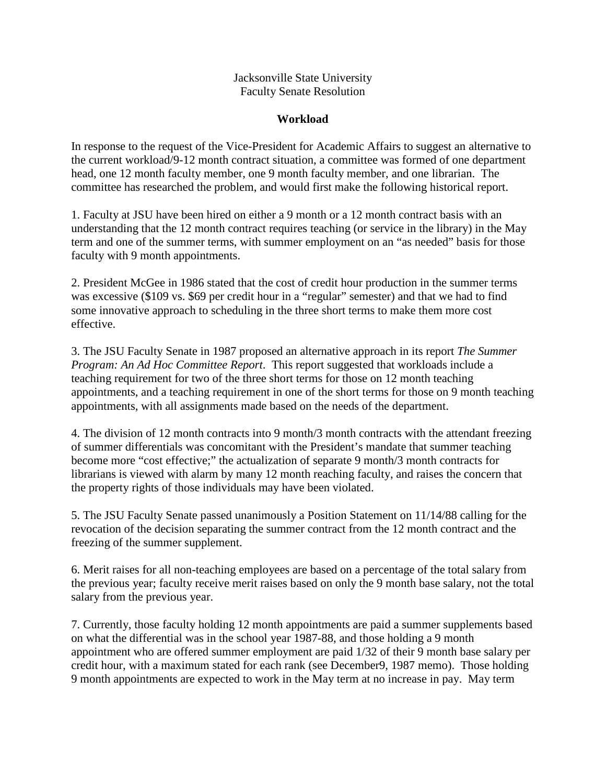## **Workload**

In response to the request of the Vice-President for Academic Affairs to suggest an alternative to the current workload/9-12 month contract situation, a committee was formed of one department head, one 12 month faculty member, one 9 month faculty member, and one librarian. The committee has researched the problem, and would first make the following historical report.

1. Faculty at JSU have been hired on either a 9 month or a 12 month contract basis with an understanding that the 12 month contract requires teaching (or service in the library) in the May term and one of the summer terms, with summer employment on an "as needed" basis for those faculty with 9 month appointments.

2. President McGee in 1986 stated that the cost of credit hour production in the summer terms was excessive (\$109 vs. \$69 per credit hour in a "regular" semester) and that we had to find some innovative approach to scheduling in the three short terms to make them more cost effective.

3. The JSU Faculty Senate in 1987 proposed an alternative approach in its report *The Summer Program: An Ad Hoc Committee Report*. This report suggested that workloads include a teaching requirement for two of the three short terms for those on 12 month teaching appointments, and a teaching requirement in one of the short terms for those on 9 month teaching appointments, with all assignments made based on the needs of the department.

4. The division of 12 month contracts into 9 month/3 month contracts with the attendant freezing of summer differentials was concomitant with the President's mandate that summer teaching become more "cost effective;" the actualization of separate 9 month/3 month contracts for librarians is viewed with alarm by many 12 month reaching faculty, and raises the concern that the property rights of those individuals may have been violated.

5. The JSU Faculty Senate passed unanimously a Position Statement on 11/14/88 calling for the revocation of the decision separating the summer contract from the 12 month contract and the freezing of the summer supplement.

6. Merit raises for all non-teaching employees are based on a percentage of the total salary from the previous year; faculty receive merit raises based on only the 9 month base salary, not the total salary from the previous year.

7. Currently, those faculty holding 12 month appointments are paid a summer supplements based on what the differential was in the school year 1987-88, and those holding a 9 month appointment who are offered summer employment are paid 1/32 of their 9 month base salary per credit hour, with a maximum stated for each rank (see December9, 1987 memo). Those holding 9 month appointments are expected to work in the May term at no increase in pay. May term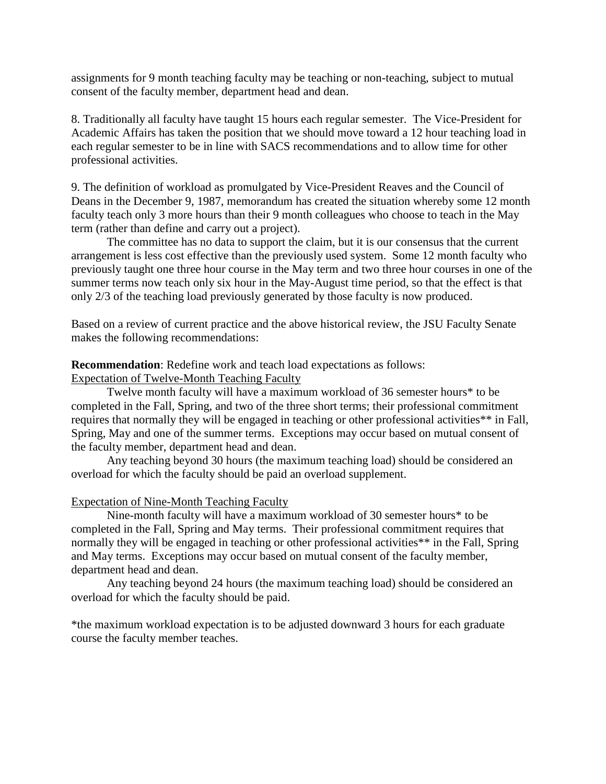assignments for 9 month teaching faculty may be teaching or non-teaching, subject to mutual consent of the faculty member, department head and dean.

8. Traditionally all faculty have taught 15 hours each regular semester. The Vice-President for Academic Affairs has taken the position that we should move toward a 12 hour teaching load in each regular semester to be in line with SACS recommendations and to allow time for other professional activities.

9. The definition of workload as promulgated by Vice-President Reaves and the Council of Deans in the December 9, 1987, memorandum has created the situation whereby some 12 month faculty teach only 3 more hours than their 9 month colleagues who choose to teach in the May term (rather than define and carry out a project).

The committee has no data to support the claim, but it is our consensus that the current arrangement is less cost effective than the previously used system. Some 12 month faculty who previously taught one three hour course in the May term and two three hour courses in one of the summer terms now teach only six hour in the May-August time period, so that the effect is that only 2/3 of the teaching load previously generated by those faculty is now produced.

Based on a review of current practice and the above historical review, the JSU Faculty Senate makes the following recommendations:

#### **Recommendation**: Redefine work and teach load expectations as follows:

Expectation of Twelve-Month Teaching Faculty

Twelve month faculty will have a maximum workload of 36 semester hours\* to be completed in the Fall, Spring, and two of the three short terms; their professional commitment requires that normally they will be engaged in teaching or other professional activities\*\* in Fall, Spring, May and one of the summer terms. Exceptions may occur based on mutual consent of the faculty member, department head and dean.

Any teaching beyond 30 hours (the maximum teaching load) should be considered an overload for which the faculty should be paid an overload supplement.

#### Expectation of Nine-Month Teaching Faculty

Nine-month faculty will have a maximum workload of 30 semester hours\* to be completed in the Fall, Spring and May terms. Their professional commitment requires that normally they will be engaged in teaching or other professional activities\*\* in the Fall, Spring and May terms. Exceptions may occur based on mutual consent of the faculty member, department head and dean.

Any teaching beyond 24 hours (the maximum teaching load) should be considered an overload for which the faculty should be paid.

\*the maximum workload expectation is to be adjusted downward 3 hours for each graduate course the faculty member teaches.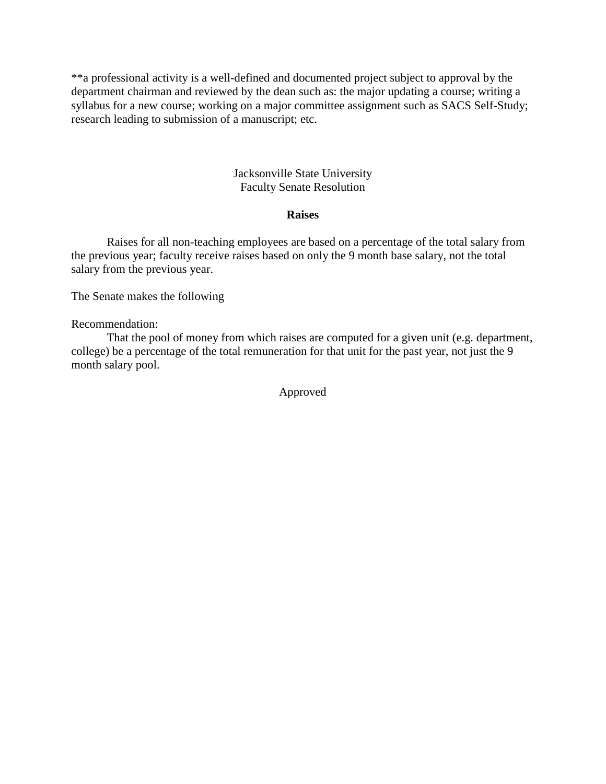\*\*a professional activity is a well-defined and documented project subject to approval by the department chairman and reviewed by the dean such as: the major updating a course; writing a syllabus for a new course; working on a major committee assignment such as SACS Self-Study; research leading to submission of a manuscript; etc.

## Jacksonville State University Faculty Senate Resolution

## **Raises**

Raises for all non-teaching employees are based on a percentage of the total salary from the previous year; faculty receive raises based on only the 9 month base salary, not the total salary from the previous year.

The Senate makes the following

Recommendation:

That the pool of money from which raises are computed for a given unit (e.g. department, college) be a percentage of the total remuneration for that unit for the past year, not just the 9 month salary pool.

Approved